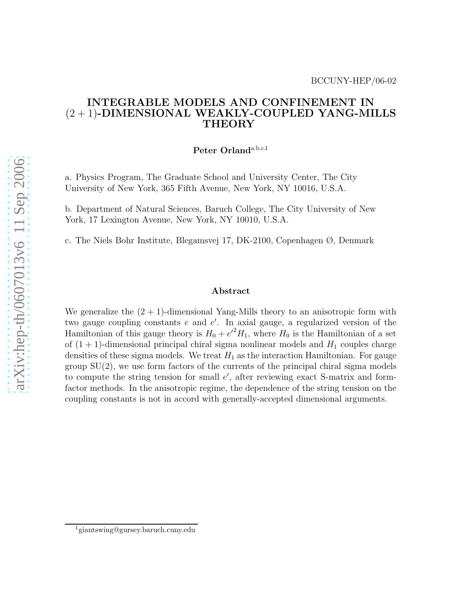#### INTEGRABLE MODELS AND CONFINEMENT IN  $(2 + 1)$ -DIMENSIONAL WEAKLY-COUPLED YANG-MILLS THEORY

Peter Orland<sup>a.b.c.1</sup>

a. Physics Program, The Graduate School and University Center, The City University of New York, 365 Fifth Avenue, New York, NY 10016, U.S.A.

b. Department of Natural Sciences, Baruch College, The City University of New York, 17 Lexington Avenue, New York, NY 10010, U.S.A.

c. The Niels Bohr Institute, Blegamsvej 17, DK-2100, Copenhagen Ø, Denmark

#### Abstract

We generalize the  $(2 + 1)$ -dimensional Yang-Mills theory to an anisotropic form with two gauge coupling constants  $e$  and  $e'$ . In axial gauge, a regularized version of the Hamiltonian of this gauge theory is  $H_0 + e^{i^2}H_1$ , where  $H_0$  is the Hamiltonian of a set of  $(1 + 1)$ -dimensional principal chiral sigma nonlinear models and  $H_1$  couples charge densities of these sigma models. We treat  $H_1$  as the interaction Hamiltonian. For gauge group  $SU(2)$ , we use form factors of the currents of the principal chiral sigma models to compute the string tension for small  $e'$ , after reviewing exact S-matrix and formfactor methods. In the anisotropic regime, the dependence of the string tension on the coupling constants is not in accord with generally-accepted dimensional arguments.

<sup>1</sup>giantswing@gursey.baruch.cuny.edu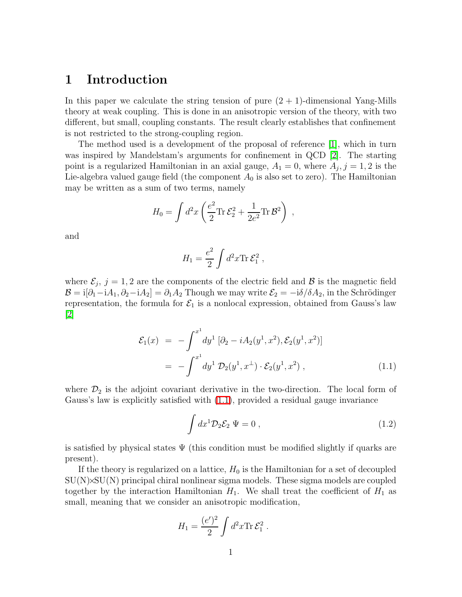#### 1 Introduction

In this paper we calculate the string tension of pure  $(2 + 1)$ -dimensional Yang-Mills theory at weak coupling. This is done in an anisotropic version of the theory, with two different, but small, coupling constants. The result clearly establishes that confinement is not restricted to the strong-coupling region.

The method used is a development of the proposal of reference [\[1\]](#page-34-0), which in turn was inspired by Mandelstam's arguments for confinement in QCD [\[2\]](#page-34-1). The starting point is a regularized Hamiltonian in an axial gauge,  $A_1 = 0$ , where  $A_j$ ,  $j = 1, 2$  is the Lie-algebra valued gauge field (the component  $A_0$  is also set to zero). The Hamiltonian may be written as a sum of two terms, namely

$$
H_0 = \int d^2x \left( \frac{e^2}{2} \text{Tr} \,\mathcal{E}_2^2 + \frac{1}{2e^2} \text{Tr} \,\mathcal{B}^2 \right) ,
$$

and

$$
H_1 = \frac{e^2}{2} \int d^2x \text{Tr} \,\mathcal{E}_1^2 ,
$$

where  $\mathcal{E}_j$ ,  $j = 1, 2$  are the components of the electric field and  $\beta$  is the magnetic field  $\mathcal{B} = \mathrm{i}[\partial_1 - \mathrm{i}A_1, \partial_2 - \mathrm{i}A_2] = \partial_1 A_2$  Though we may write  $\mathcal{E}_2 = -\mathrm{i}\delta/\delta A_2$ , in the Schrödinger representation, the formula for  $\mathcal{E}_1$  is a nonlocal expression, obtained from Gauss's law  $|2|$ 

<span id="page-1-0"></span>
$$
\mathcal{E}_1(x) = -\int^{x^1} dy^1 \left[ \partial_2 - iA_2(y^1, x^2), \mathcal{E}_2(y^1, x^2) \right]
$$
  
= 
$$
-\int^{x^1} dy^1 \mathcal{D}_2(y^1, x^{\perp}) \cdot \mathcal{E}_2(y^1, x^2) , \qquad (1.1)
$$

where  $\mathcal{D}_2$  is the adjoint covariant derivative in the two-direction. The local form of Gauss's law is explicitly satisfied with [\(1.1\)](#page-1-0), provided a residual gauge invariance

<span id="page-1-1"></span>
$$
\int dx^1 \mathcal{D}_2 \mathcal{E}_2 \Psi = 0 , \qquad (1.2)
$$

is satisfied by physical states  $\Psi$  (this condition must be modified slightly if quarks are present).

If the theory is regularized on a lattice,  $H_0$  is the Hamiltonian for a set of decoupled  $SU(N)\times SU(N)$  principal chiral nonlinear sigma models. These sigma models are coupled together by the interaction Hamiltonian  $H_1$ . We shall treat the coefficient of  $H_1$  as small, meaning that we consider an anisotropic modification,

$$
H_1 = \frac{(e')^2}{2} \int d^2x \text{Tr} \,\mathcal{E}_1^2 \,.
$$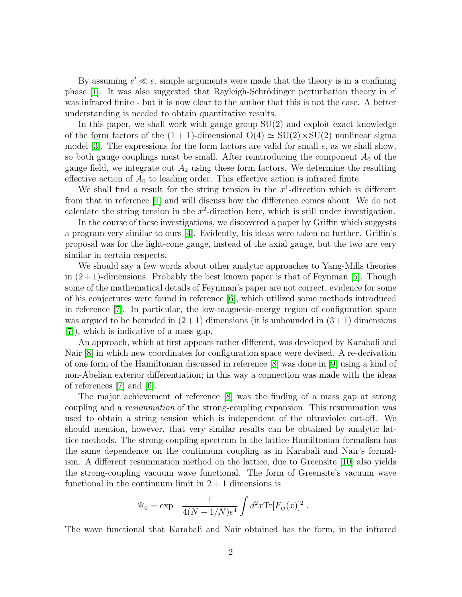By assuming  $e' \ll e$ , simple arguments were made that the theory is in a confining phase [\[1\]](#page-34-0). It was also suggested that Rayleigh-Schrödinger perturbation theory in  $e'$ was infrared finite - but it is now clear to the author that this is not the case. A better understanding is needed to obtain quantitative results.

In this paper, we shall work with gauge group  $SU(2)$  and exploit exact knowledge of the form factors of the  $(1 + 1)$ -dimensional  $O(4) \simeq SU(2) \times SU(2)$  nonlinear sigma model [\[3\]](#page-34-2). The expressions for the form factors are valid for small  $e$ , as we shall show, so both gauge couplings must be small. After reintroducing the component  $A_0$  of the gauge field, we integrate out  $A_2$  using these form factors. We determine the resulting effective action of  $A_0$  to leading order. This effective action is infrared finite.

We shall find a result for the string tension in the  $x^1$ -direction which is different from that in reference [\[1\]](#page-34-0) and will discuss how the difference comes about. We do not calculate the string tension in the  $x^2$ -direction here, which is still under investigation.

In the course of these investigations, we discovered a paper by Griffin which suggests a program very similar to ours [\[4\]](#page-34-3). Evidently, his ideas were taken no further. Griffin's proposal was for the light-cone gauge, instead of the axial gauge, but the two are very similar in certain respects.

We should say a few words about other analytic approaches to Yang-Mills theories in  $(2+1)$ -dimensions. Probably the best known paper is that of Feynman [\[5\]](#page-34-4). Though some of the mathematical details of Feynman's paper are not correct, evidence for some of his conjectures were found in reference [\[6\]](#page-34-5), which utilized some methods introduced in reference [\[7\]](#page-34-6). In particular, the low-magnetic-energy region of configuration space was argued to be bounded in  $(2+1)$  dimensions (it is unbounded in  $(3+1)$  dimensions [\[7\]](#page-34-6)), which is indicative of a mass gap.

An approach, which at first appears rather different, was developed by Karabali and Nair [\[8\]](#page-34-7) in which new coordinates for configuration space were devised. A re-derivation of one form of the Hamiltonian discussed in reference [\[8\]](#page-34-7) was done in [\[9\]](#page-34-8) using a kind of non-Abelian exterior differentiation; in this way a connection was made with the ideas of references [\[7\]](#page-34-6) and [\[6\]](#page-34-5).

The major achievement of reference [\[8\]](#page-34-7) was the finding of a mass gap at strong coupling and a resummation of the strong-coupling expansion. This resummation was used to obtain a string tension which is independent of the ultraviolet cut-off. We should mention, however, that very similar results can be obtained by analytic lattice methods. The strong-coupling spectrum in the lattice Hamiltonian formalism has the same dependence on the continuum coupling as in Karabali and Nair's formalism. A different resummation method on the lattice, due to Greensite [\[10\]](#page-34-9) also yields the strong-coupling vacuum wave functional. The form of Greensite's vacuum wave functional in the continuum limit in  $2 + 1$  dimensions is

$$
\Psi_0 = \exp{-\frac{1}{4(N-1/N)e^4} \int d^2x \text{Tr}[F_{ij}(x)]^2}.
$$

The wave functional that Karabali and Nair obtained has the form, in the infrared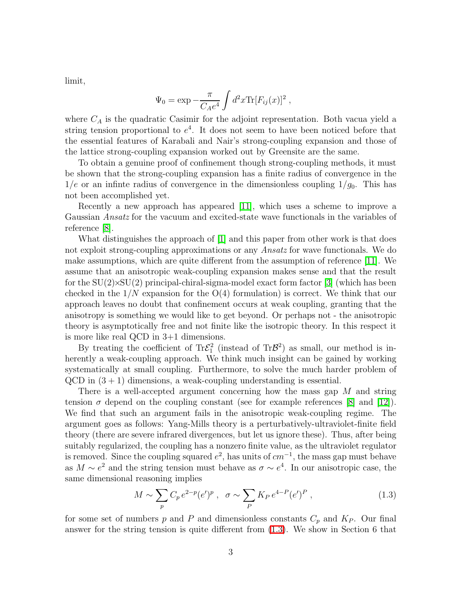limit,

$$
\Psi_0 = \exp -\frac{\pi}{C_A e^4} \int d^2x \text{Tr}[F_{ij}(x)]^2 ,
$$

where  $C_A$  is the quadratic Casimir for the adjoint representation. Both vacua yield a string tension proportional to  $e^4$ . It does not seem to have been noticed before that the essential features of Karabali and Nair's strong-coupling expansion and those of the lattice strong-coupling expansion worked out by Greensite are the same.

To obtain a genuine proof of confinement though strong-coupling methods, it must be shown that the strong-coupling expansion has a finite radius of convergence in the  $1/e$  or an infinte radius of convergence in the dimensionless coupling  $1/g<sub>0</sub>$ . This has not been accomplished yet.

Recently a new approach has appeared [\[11\]](#page-34-10), which uses a scheme to improve a Gaussian Ansatz for the vacuum and excited-state wave functionals in the variables of reference [\[8\]](#page-34-7).

What distinguishes the approach of  $[1]$  and this paper from other work is that does not exploit strong-coupling approximations or any Ansatz for wave functionals. We do make assumptions, which are quite different from the assumption of reference [\[11\]](#page-34-10). We assume that an anisotropic weak-coupling expansion makes sense and that the result for the  $SU(2)\times SU(2)$  principal-chiral-sigma-model exact form factor [\[3\]](#page-34-2) (which has been checked in the  $1/N$  expansion for the  $O(4)$  formulation) is correct. We think that our approach leaves no doubt that confinement occurs at weak coupling, granting that the anisotropy is something we would like to get beyond. Or perhaps not - the anisotropic theory is asymptotically free and not finite like the isotropic theory. In this respect it is more like real QCD in 3+1 dimensions.

By treating the coefficient of  $Tr \mathcal{E}_1^2$  (instead of  $Tr \mathcal{B}^2$ ) as small, our method is inherently a weak-coupling approach. We think much insight can be gained by working systematically at small coupling. Furthermore, to solve the much harder problem of  $QCD$  in  $(3 + 1)$  dimensions, a weak-coupling understanding is essential.

There is a well-accepted argument concerning how the mass gap M and string tension  $\sigma$  depend on the coupling constant (see for example references [\[8\]](#page-34-7) and [\[12\]](#page-34-11)). We find that such an argument fails in the anisotropic weak-coupling regime. The argument goes as follows: Yang-Mills theory is a perturbatively-ultraviolet-finite field theory (there are severe infrared divergences, but let us ignore these). Thus, after being suitably regularized, the coupling has a nonzero finite value, as the ultraviolet regulator is removed. Since the coupling squared  $e^2$ , has units of  $cm^{-1}$ , the mass gap must behave as  $M \sim e^2$  and the string tension must behave as  $\sigma \sim e^4$ . In our anisotropic case, the same dimensional reasoning implies

$$
M \sim \sum_{p} C_p e^{2-p} (e')^p , \quad \sigma \sim \sum_{p} K_P e^{4-P} (e')^P , \tag{1.3}
$$

<span id="page-3-0"></span>for some set of numbers p and P and dimensionless constants  $C_p$  and  $K_P$ . Our final answer for the string tension is quite different from [\(1.3\)](#page-3-0). We show in Section 6 that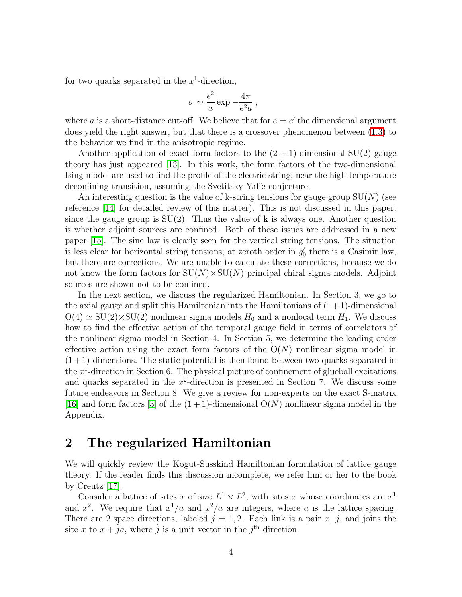for two quarks separated in the  $x^1$ -direction,

$$
\sigma \sim \frac{e^2}{a} \exp{-\frac{4\pi}{e^2 a}} ,
$$

where a is a short-distance cut-off. We believe that for  $e = e'$  the dimensional argument does yield the right answer, but that there is a crossover phenomenon between [\(1.3\)](#page-3-0) to the behavior we find in the anisotropic regime.

Another application of exact form factors to the  $(2 + 1)$ -dimensional SU(2) gauge theory has just appeared [\[13\]](#page-34-12). In this work, the form factors of the two-dimensional Ising model are used to find the profile of the electric string, near the high-temperature deconfining transition, assuming the Svetitsky-Yaffe conjecture.

An interesting question is the value of k-string tensions for gauge group  $SU(N)$  (see reference [\[14\]](#page-34-13) for detailed review of this matter). This is not discussed in this paper, since the gauge group is  $SU(2)$ . Thus the value of k is always one. Another question is whether adjoint sources are confined. Both of these issues are addressed in a new paper [\[15\]](#page-34-14). The sine law is clearly seen for the vertical string tensions. The situation is less clear for horizontal string tensions; at zeroth order in  $g'_0$  there is a Casimir law, but there are corrections. We are unable to calculate these corrections, because we do not know the form factors for  $SU(N) \times SU(N)$  principal chiral sigma models. Adjoint sources are shown not to be confined.

In the next section, we discuss the regularized Hamiltonian. In Section 3, we go to the axial gauge and split this Hamiltonian into the Hamiltonians of  $(1+1)$ -dimensional  $O(4) \simeq SU(2) \times SU(2)$  nonlinear sigma models  $H_0$  and a nonlocal term  $H_1$ . We discuss how to find the effective action of the temporal gauge field in terms of correlators of the nonlinear sigma model in Section 4. In Section 5, we determine the leading-order effective action using the exact form factors of the  $O(N)$  nonlinear sigma model in  $(1+1)$ -dimensions. The static potential is then found between two quarks separated in the  $x^1$ -direction in Section 6. The physical picture of confinement of glueball excitations and quarks separated in the  $x^2$ -direction is presented in Section 7. We discuss some future endeavors in Section 8. We give a review for non-experts on the exact S-matrix [\[16\]](#page-34-15) and form factors [\[3\]](#page-34-2) of the  $(1 + 1)$ -dimensional  $O(N)$  nonlinear sigma model in the Appendix.

#### 2 The regularized Hamiltonian

We will quickly review the Kogut-Susskind Hamiltonian formulation of lattice gauge theory. If the reader finds this discussion incomplete, we refer him or her to the book by Creutz [\[17\]](#page-34-16).

Consider a lattice of sites x of size  $L^1 \times L^2$ , with sites x whose coordinates are  $x^1$ and  $x^2$ . We require that  $x^1/a$  and  $x^2/a$  are integers, where a is the lattice spacing. There are 2 space directions, labeled  $j = 1, 2$ . Each link is a pair x, j, and joins the site x to  $x + \hat{j}a$ , where  $\hat{j}$  is a unit vector in the  $j^{\text{th}}$  direction.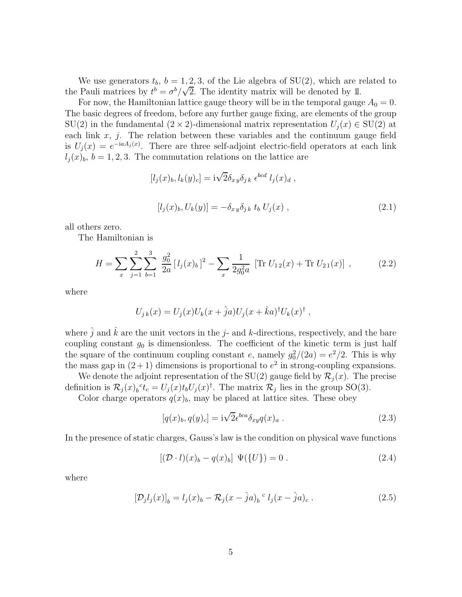We use generators  $t_b$ ,  $b = 1, 2, 3$ , of the Lie algebra of SU(2), which are related to the Pauli matrices by  $t^b = \sigma^b/\sqrt{2}$ . The identity matrix will be denoted by 1l.

For now, the Hamiltonian lattice gauge theory will be in the temporal gauge  $A_0 = 0$ . The basic degrees of freedom, before any further gauge fixing, are elements of the group SU(2) in the fundamental  $(2 \times 2)$ -dimensional matrix representation  $U_j(x) \in SU(2)$  at each link  $x, j$ . The relation between these variables and the continuum gauge field is  $U_j(x) = e^{-iaA_j(x)}$ . There are three self-adjoint electric-field operators at each link  $l_i(x)_b$ ,  $b = 1, 2, 3$ . The commutation relations on the lattice are

$$
[l_j(x)_b, l_k(y)_c] = i\sqrt{2}\delta_{xy}\delta_{jk} \epsilon^{bcd} l_j(x)_d ,
$$
  

$$
[l_j(x)_b, U_k(y)] = -\delta_{xy}\delta_{jk} t_b U_j(x) ,
$$
 (2.1)

all others zero.

The Hamiltonian is

$$
H = \sum_{x} \sum_{j=1}^{2} \sum_{b=1}^{3} \frac{g_0^2}{2a} [l_j(x)_b]^2 - \sum_{x} \frac{1}{2g_0^2 a} [\text{Tr } U_{12}(x) + \text{Tr } U_{21}(x)], \qquad (2.2)
$$

<span id="page-5-0"></span>where

$$
U_{j k}(x) = U_j(x) U_k(x + \hat{j}a) U_j(x + \hat{k}a)^{\dagger} U_k(x)^{\dagger} ,
$$

where  $\hat{j}$  and  $\hat{k}$  are the unit vectors in the j- and k-directions, respectively, and the bare coupling constant  $g_0$  is dimensionless. The coefficient of the kinetic term is just half the square of the continuum coupling constant e, namely  $g_0^2/(2a) = e^2/2$ . This is why the mass gap in  $(2+1)$  dimensions is proportional to  $e<sup>2</sup>$  in strong-coupling expansions.

We denote the adjoint representation of the SU(2) gauge field by  $\mathcal{R}_i(x)$ . The precise definition is  $\mathcal{R}_j(x)_b{}^c t_c = U_j(x) t_b U_j(x)^\dagger$ . The matrix  $\mathcal{R}_j$  lies in the group SO(3).

Color charge operators  $q(x)_b$ , may be placed at lattice sites. These obey

$$
[q(x)_b, q(y)_c] = i\sqrt{2} \epsilon^{bca} \delta_{xy} q(x)_a . \qquad (2.3)
$$

In the presence of static charges, Gauss's law is the condition on physical wave functions

$$
[(\mathcal{D} \cdot l)(x)_b - q(x)_b] \Psi({U}) = 0.
$$
\n(2.4)

where

$$
[\mathcal{D}_j l_j(x)]_b = l_j(x)_b - \mathcal{R}_j(x - \hat{j}a)_b{}^c l_j(x - \hat{j}a)_c.
$$
 (2.5)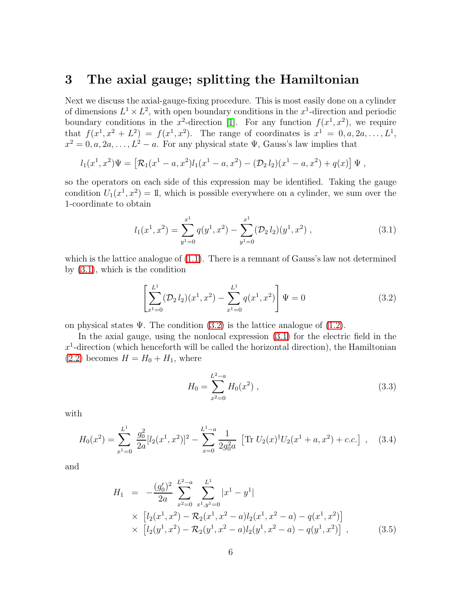### 3 The axial gauge; splitting the Hamiltonian

Next we discuss the axial-gauge-fixing procedure. This is most easily done on a cylinder of dimensions  $L^1 \times L^2$ , with open boundary conditions in the  $x^1$ -direction and periodic boundary conditions in the x<sup>2</sup>-direction [\[1\]](#page-34-0). For any function  $f(x^1, x^2)$ , we require that  $f(x^1, x^2 + L^2) = f(x^1, x^2)$ . The range of coordinates is  $x^1 = 0, a, 2a, ..., L^1$ ,  $x^2 = 0, a, 2a, \dots, L^2 - a$ . For any physical state  $\Psi$ , Gauss's law implies that

$$
l_1(x^1,x^2)\Psi = [\mathcal{R}_1(x^1-a,x^2)l_1(x^1-a,x^2) - (\mathcal{D}_2l_2)(x^1-a,x^2) + q(x)]\Psi,
$$

so the operators on each side of this expression may be identified. Taking the gauge condition  $U_1(x^1, x^2) = 1$ , which is possible everywhere on a cylinder, we sum over the 1-coordinate to obtain

$$
l_1(x^1, x^2) = \sum_{y^1=0}^{x^1} q(y^1, x^2) - \sum_{y^1=0}^{x^1} (\mathcal{D}_2 l_2)(y^1, x^2) , \qquad (3.1)
$$

<span id="page-6-0"></span>which is the lattice analogue of  $(1.1)$ . There is a remnant of Gauss's law not determined by [\(3.1\)](#page-6-0), which is the condition

$$
\left[\sum_{x^1=0}^{L^1} (\mathcal{D}_2 l_2)(x^1, x^2) - \sum_{x^1=0}^{L^1} q(x^1, x^2)\right] \Psi = 0
$$
\n(3.2)

<span id="page-6-1"></span>on physical states  $\Psi$ . The condition  $(3.2)$  is the lattice analogue of  $(1.2)$ .

In the axial gauge, using the nonlocal expression [\(3.1\)](#page-6-0) for the electric field in the  $x<sup>1</sup>$ -direction (which henceforth will be called the horizontal direction), the Hamiltonian  $(2.2)$  becomes  $H = H_0 + H_1$ , where

$$
H_0 = \sum_{x^2=0}^{L^2-a} H_0(x^2) , \qquad (3.3)
$$

<span id="page-6-2"></span>with

$$
H_0(x^2) = \sum_{x^1=0}^{L^1} \frac{g_0^2}{2a} [l_2(x^1, x^2)]^2 - \sum_{x=0}^{L^1 - a} \frac{1}{2g_0^2 a} \left[ \text{Tr} \ U_2(x)^\dagger U_2(x^1 + a, x^2) + c.c. \right] \,, \tag{3.4}
$$

<span id="page-6-3"></span>and

$$
H_1 = -\frac{(g_0')^2}{2a} \sum_{x^2=0}^{L^2-a} \sum_{x^1,y^1=0}^{L^1} |x^1 - y^1|
$$
  
 
$$
\times \left[ l_2(x^1, x^2) - \mathcal{R}_2(x^1, x^2 - a) l_2(x^1, x^2 - a) - q(x^1, x^2) \right]
$$
  
 
$$
\times \left[ l_2(y^1, x^2) - \mathcal{R}_2(y^1, x^2 - a) l_2(y^1, x^2 - a) - q(y^1, x^2) \right],
$$
 (3.5)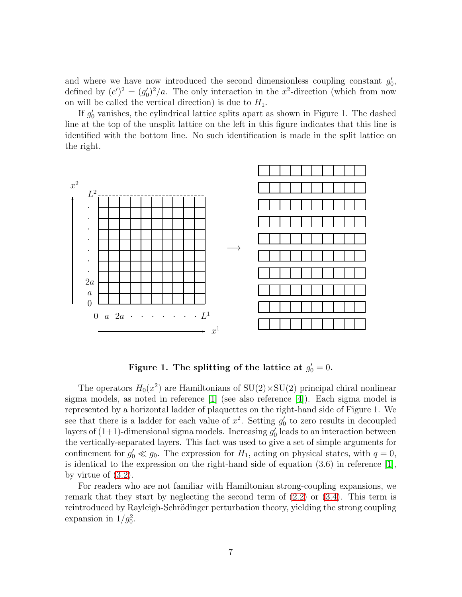and where we have now introduced the second dimensionless coupling constant  $g'_0$ , defined by  $(e')^2 = (g'_0)^2/a$ . The only interaction in the x<sup>2</sup>-direction (which from now on will be called the vertical direction) is due to  $H_1$ .

If  $g'_{0}$  vanishes, the cylindrical lattice splits apart as shown in Figure 1. The dashed line at the top of the unsplit lattice on the left in this figure indicates that this line is identified with the bottom line. No such identification is made in the split lattice on the right.



Figure 1. The splitting of the lattice at  $g'_0 = 0$ .

The operators  $H_0(x^2)$  are Hamiltonians of  $SU(2) \times SU(2)$  principal chiral nonlinear sigma models, as noted in reference [\[1\]](#page-34-0) (see also reference [\[4\]](#page-34-3)). Each sigma model is represented by a horizontal ladder of plaquettes on the right-hand side of Figure 1. We see that there is a ladder for each value of  $x^2$ . Setting  $g'_0$  to zero results in decoupled layers of  $(1+1)$ -dimensional sigma models. Increasing  $g'_{0}$  leads to an interaction between the vertically-separated layers. This fact was used to give a set of simple arguments for confinement for  $g'_0 \ll g_0$ . The expression for  $H_1$ , acting on physical states, with  $q = 0$ , is identical to the expression on the right-hand side of equation  $(3.6)$  in reference [\[1\]](#page-34-0), by virtue of [\(3.2\)](#page-6-1).

For readers who are not familiar with Hamiltonian strong-coupling expansions, we remark that they start by neglecting the second term of [\(2.2\)](#page-5-0) or [\(3.4\)](#page-6-2). This term is reintroduced by Rayleigh-Schrödinger perturbation theory, yielding the strong coupling expansion in  $1/g_0^2$ .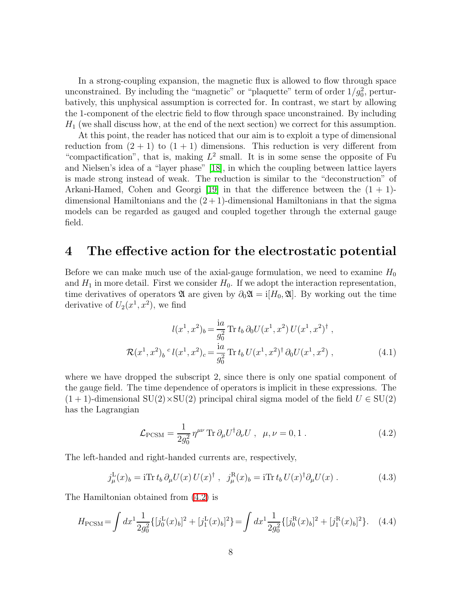In a strong-coupling expansion, the magnetic flux is allowed to flow through space unconstrained. By including the "magnetic" or "plaquette" term of order  $1/g_0^2$ , perturbatively, this unphysical assumption is corrected for. In contrast, we start by allowing the 1-component of the electric field to flow through space unconstrained. By including  $H_1$  (we shall discuss how, at the end of the next section) we correct for this assumption.

At this point, the reader has noticed that our aim is to exploit a type of dimensional reduction from  $(2 + 1)$  to  $(1 + 1)$  dimensions. This reduction is very different from "compactification", that is, making  $L^2$  small. It is in some sense the opposite of Fu and Nielsen's idea of a "layer phase" [\[18\]](#page-34-17), in which the coupling between lattice layers is made strong instead of weak. The reduction is similar to the "deconstruction" of Arkani-Hamed, Cohen and Georgi [\[19\]](#page-34-18) in that the difference between the  $(1 + 1)$ dimensional Hamiltonians and the  $(2 + 1)$ -dimensional Hamiltonians in that the sigma models can be regarded as gauged and coupled together through the external gauge field.

#### 4 The effective action for the electrostatic potential

Before we can make much use of the axial-gauge formulation, we need to examine  $H_0$ and  $H_1$  in more detail. First we consider  $H_0$ . If we adopt the interaction representation, time derivatives of operators  $\mathfrak A$  are given by  $\partial_0 \mathfrak A = i[H_0, \mathfrak A]$ . By working out the time derivative of  $U_2(x^1, x^2)$ , we find

<span id="page-8-1"></span>
$$
l(x^{1}, x^{2})_{b} = \frac{ia}{g_{0}^{2}} \operatorname{Tr} t_{b} \partial_{0} U(x^{1}, x^{2}) U(x^{1}, x^{2})^{\dagger} ,
$$
  

$$
\mathcal{R}(x^{1}, x^{2})_{b}{}^{c} l(x^{1}, x^{2})_{c} = \frac{ia}{g_{0}^{2}} \operatorname{Tr} t_{b} U(x^{1}, x^{2})^{\dagger} \partial_{0} U(x^{1}, x^{2}) , \qquad (4.1)
$$

where we have dropped the subscript 2, since there is only one spatial component of the gauge field. The time dependence of operators is implicit in these expressions. The  $(1 + 1)$ -dimensional SU(2)×SU(2) principal chiral sigma model of the field  $U \in SU(2)$ has the Lagrangian

$$
\mathcal{L}_{\text{PCSM}} = \frac{1}{2g_0^2} \eta^{\mu\nu} \text{Tr} \,\partial_\mu U^\dagger \partial_\nu U \;, \; \mu, \nu = 0, 1 \; . \tag{4.2}
$$

<span id="page-8-2"></span><span id="page-8-0"></span>The left-handed and right-handed currents are, respectively,

$$
j^{\mathcal{L}}_{\mu}(x)_{b} = i \text{Tr} t_{b} \, \partial_{\mu} U(x) \, U(x)^{\dagger} \;, \quad j^{\mathcal{R}}_{\mu}(x)_{b} = i \text{Tr} t_{b} \, U(x)^{\dagger} \partial_{\mu} U(x) \; . \tag{4.3}
$$

<span id="page-8-3"></span>The Hamiltonian obtained from [\(4.2\)](#page-8-0) is

$$
H_{\rm PCSM} = \int dx^1 \frac{1}{2g_0^2} \{ [j_0^{\rm L}(x)_b]^2 + [j_1^{\rm L}(x)_b]^2 \} = \int dx^1 \frac{1}{2g_0^2} \{ [j_0^{\rm R}(x)_b]^2 + [j_1^{\rm R}(x)_b]^2 \}.
$$
 (4.4)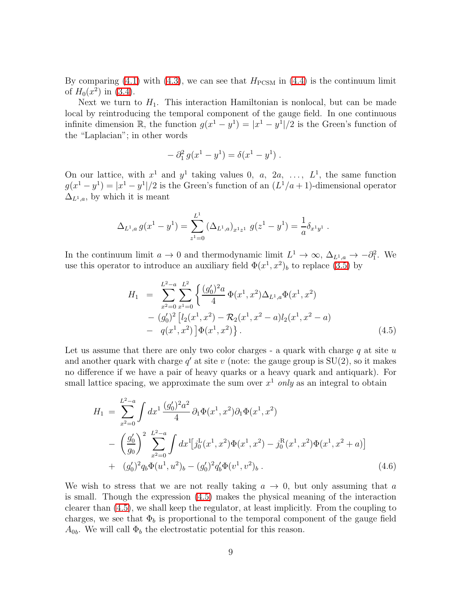By comparing [\(4.1\)](#page-8-1) with [\(4.3\)](#page-8-2), we can see that  $H_{\text{PCSM}}$  in [\(4.4\)](#page-8-3) is the continuum limit of  $H_0(x^2)$  in [\(3.4\)](#page-6-2).

Next we turn to  $H_1$ . This interaction Hamiltonian is nonlocal, but can be made local by reintroducing the temporal component of the gauge field. In one continuous infinite dimension  $\mathbb{R}$ , the function  $g(x^1 - y^1) = |x^1 - y^1|/2$  is the Green's function of the "Laplacian"; in other words

$$
- \partial_1^2 g(x^1 - y^1) = \delta(x^1 - y^1) .
$$

On our lattice, with  $x^1$  and  $y^1$  taking values 0, a, 2a, ...,  $L^1$ , the same function  $g(x^1 - y^1) = |x^1 - y^1|/2$  is the Green's function of an  $(L^1/a + 1)$ -dimensional operator  $\Delta_{L^1,a}$ , by which it is meant

$$
\Delta_{L^1,a} g(x^1 - y^1) = \sum_{z^1=0}^{L^1} (\Delta_{L^1,a})_{x^1 z^1} g(z^1 - y^1) = \frac{1}{a} \delta_{x^1 y^1}.
$$

<span id="page-9-0"></span>In the continuum limit  $a \to 0$  and thermodynamic limit  $L^1 \to \infty$ ,  $\Delta_{L^1,a} \to -\partial_1^2$ . We use this operator to introduce an auxiliary field  $\Phi(x^1, x^2)_b$  to replace [\(3.5\)](#page-6-3) by

$$
H_1 = \sum_{x^2=0}^{L^2-a} \sum_{x^1=0}^{L^2} \left\{ \frac{(g'_0)^2 a}{4} \Phi(x^1, x^2) \Delta_{L^1, a} \Phi(x^1, x^2) - (g'_0)^2 \left[ l_2(x^1, x^2) - \mathcal{R}_2(x^1, x^2 - a) l_2(x^1, x^2 - a) - q(x^1, x^2) \right] \Phi(x^1, x^2) \right\}.
$$
\n(4.5)

Let us assume that there are only two color charges - a quark with charge  $q$  at site  $u$ and another quark with charge  $q'$  at site v (note: the gauge group is  $SU(2)$ , so it makes no difference if we have a pair of heavy quarks or a heavy quark and antiquark). For small lattice spacing, we approximate the sum over  $x^1$  only as an integral to obtain

<span id="page-9-1"></span>
$$
H_1 = \sum_{x^2=0}^{L^2-a} \int dx^1 \frac{(g_0')^2 a^2}{4} \partial_1 \Phi(x^1, x^2) \partial_1 \Phi(x^1, x^2)
$$
  
 
$$
- \left(\frac{g_0'}{g_0}\right)^2 \sum_{x^2=0}^{L^2-a} \int dx^1 [j_0^L(x^1, x^2) \Phi(x^1, x^2) - j_0^R(x^1, x^2) \Phi(x^1, x^2 + a)]
$$
  
 
$$
+ (g_0')^2 q_b \Phi(u^1, u^2)_b - (g_0')^2 q_b' \Phi(v^1, v^2)_b . \tag{4.6}
$$

We wish to stress that we are not really taking  $a \to 0$ , but only assuming that a is small. Though the expression [\(4.5\)](#page-9-0) makes the physical meaning of the interaction clearer than [\(4.5\)](#page-9-0), we shall keep the regulator, at least implicitly. From the coupling to charges, we see that  $\Phi_b$  is proportional to the temporal component of the gauge field  $A_{0b}$ . We will call  $\Phi_b$  the electrostatic potential for this reason.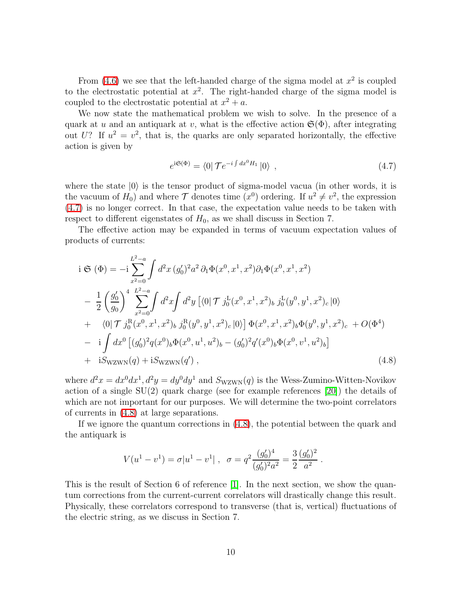From  $(4.6)$  we see that the left-handed charge of the sigma model at  $x^2$  is coupled to the electrostatic potential at  $x^2$ . The right-handed charge of the sigma model is coupled to the electrostatic potential at  $x^2 + a$ .

We now state the mathematical problem we wish to solve. In the presence of a quark at u and an antiquark at v, what is the effective action  $\mathfrak{S}(\Phi)$ , after integrating out U? If  $u^2 = v^2$ , that is, the quarks are only separated horizontally, the effective action is given by

<span id="page-10-0"></span>
$$
e^{i\mathfrak{S}(\Phi)} = \langle 0| \mathcal{T}e^{-i\int dx^0 H_1} |0\rangle , \qquad (4.7)
$$

where the state  $|0\rangle$  is the tensor product of sigma-model vacua (in other words, it is the vacuum of  $H_0$ ) and where  $\mathcal T$  denotes time  $(x^0)$  ordering. If  $u^2 \neq v^2$ , the expression [\(4.7\)](#page-10-0) is no longer correct. In that case, the expectation value needs to be taken with respect to different eigenstates of  $H_0$ , as we shall discuss in Section 7.

The effective action may be expanded in terms of vacuum expectation values of products of currents:

<span id="page-10-1"></span>
$$
\begin{split}\ni\mathfrak{S}\left(\Phi\right) &= -i\sum_{x^{2}=0}^{L^{2}-a} \int d^{2}x \left(g_{0}^{\prime}\right)^{2} a^{2} \,\partial_{1}\Phi(x^{0},x^{1},x^{2}) \partial_{1}\Phi(x^{0},x^{1},x^{2}) \\
&\quad -\frac{1}{2} \left(\frac{g_{0}^{\prime}}{g_{0}}\right)^{4} \sum_{x^{2}=0}^{L^{2}-a} \int d^{2}x \int d^{2}y \left[\langle 0|\mathcal{T}\ j_{0}^{\mathrm{L}}(x^{0},x^{1},x^{2})_{b}\ j_{0}^{\mathrm{L}}(y^{0},y^{1},x^{2})_{c}\,|0\rangle \right. \\
&\quad + \left. \langle 0|\mathcal{T}\ j_{0}^{\mathrm{R}}(x^{0},x^{1},x^{2})_{b}\ j_{0}^{\mathrm{R}}(y^{0},y^{1},x^{2})_{c}\,|0\rangle \right] \Phi(x^{0},x^{1},x^{2})_{b} \Phi(y^{0},y^{1},x^{2})_{c} + O(\Phi^{4}) \\
&\quad - \left. i \int dx^{0} \left[ (g_{0}^{\prime})^{2}q(x^{0})_{b}\Phi(x^{0},u^{1},u^{2})_{b} - (g_{0}^{\prime})^{2}q^{\prime}(x^{0})_{b}\Phi(x^{0},v^{1},u^{2})_{b} \right] \\
&\quad + \left. iS_{\mathrm{WZWN}}(q) + iS_{\mathrm{WZWN}}(q^{\prime})\right),\n\end{split} \tag{4.8}
$$

where  $d^2x = dx^0 dx^1$ ,  $d^2y = dy^0 dy^1$  and  $S_{\text{WZWN}}(q)$  is the Wess-Zumino-Witten-Novikov action of a single SU(2) quark charge (see for example references [\[20\]](#page-35-0)) the details of which are not important for our purposes. We will determine the two-point correlators of currents in [\(4.8\)](#page-10-1) at large separations.

If we ignore the quantum corrections in [\(4.8\)](#page-10-1), the potential between the quark and the antiquark is

$$
V(u^{1} - v^{1}) = \sigma |u^{1} - v^{1}|, \quad \sigma = q^{2} \frac{(g_{0}')^{4}}{(g_{0}')^{2} a^{2}} = \frac{3}{2} \frac{(g_{0}')^{2}}{a^{2}}.
$$

This is the result of Section 6 of reference [\[1\]](#page-34-0). In the next section, we show the quantum corrections from the current-current correlators will drastically change this result. Physically, these correlators correspond to transverse (that is, vertical) fluctuations of the electric string, as we discuss in Section 7.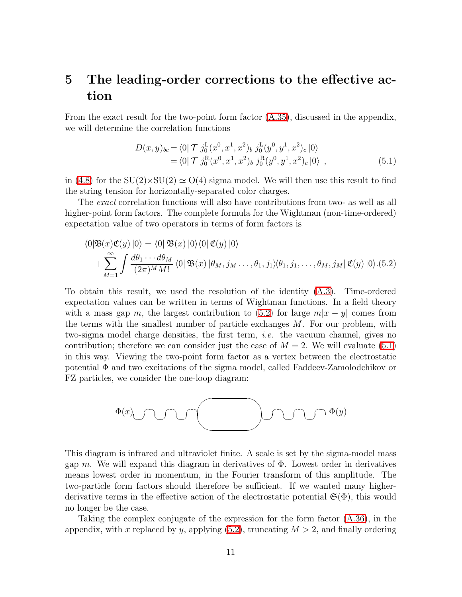# 5 The leading-order corrections to the effective action

<span id="page-11-1"></span>From the exact result for the two-point form factor [\(A.35\)](#page-32-0), discussed in the appendix, we will determine the correlation functions

$$
D(x, y)_{bc} = \langle 0 | \mathcal{T} j_0^{\text{L}}(x^0, x^1, x^2)_{b} j_0^{\text{L}}(y^0, y^1, x^2)_{c} | 0 \rangle
$$
  
=  $\langle 0 | \mathcal{T} j_0^{\text{R}}(x^0, x^1, x^2)_{b} j_0^{\text{R}}(y^0, y^1, x^2)_{c} | 0 \rangle$ , (5.1)

in [\(4.8\)](#page-10-1) for the  $SU(2) \times SU(2) \simeq O(4)$  sigma model. We will then use this result to find the string tension for horizontally-separated color charges.

<span id="page-11-0"></span>The exact correlation functions will also have contributions from two- as well as all higher-point form factors. The complete formula for the Wightman (non-time-ordered) expectation value of two operators in terms of form factors is

$$
\langle 0|\mathfrak{B}(x)\mathfrak{C}(y)|0\rangle = \langle 0|\mathfrak{B}(x)|0\rangle\langle 0|\mathfrak{C}(y)|0\rangle
$$
  
+ 
$$
\sum_{M=1}^{\infty} \int \frac{d\theta_1 \cdots d\theta_M}{(2\pi)^M M!} \langle 0|\mathfrak{B}(x)|\theta_M, j_M \dots, \theta_1, j_1 \rangle\langle \theta_1, j_1, \dots, \theta_M, j_M | \mathfrak{C}(y)|0\rangle.
$$
 (5.2)

To obtain this result, we used the resolution of the identity [\(A.3\)](#page-20-0). Time-ordered expectation values can be written in terms of Wightman functions. In a field theory with a mass gap m, the largest contribution to [\(5.2\)](#page-11-0) for large  $m|x-y|$  comes from the terms with the smallest number of particle exchanges M. For our problem, with two-sigma model charge densities, the first term, i.e. the vacuum channel, gives no contribution; therefore we can consider just the case of  $M = 2$ . We will evaluate [\(5.1\)](#page-11-1) in this way. Viewing the two-point form factor as a vertex between the electrostatic potential Φ and two excitations of the sigma model, called Faddeev-Zamolodchikov or FZ particles, we consider the one-loop diagram:



This diagram is infrared and ultraviolet finite. A scale is set by the sigma-model mass gap m. We will expand this diagram in derivatives of  $\Phi$ . Lowest order in derivatives means lowest order in momentum, in the Fourier transform of this amplitude. The two-particle form factors should therefore be sufficient. If we wanted many higherderivative terms in the effective action of the electrostatic potential  $\mathfrak{S}(\Phi)$ , this would no longer be the case.

Taking the complex conjugate of the expression for the form factor [\(A.36\)](#page-33-0), in the appendix, with x replaced by y, applying  $(5.2)$ , truncating  $M > 2$ , and finally ordering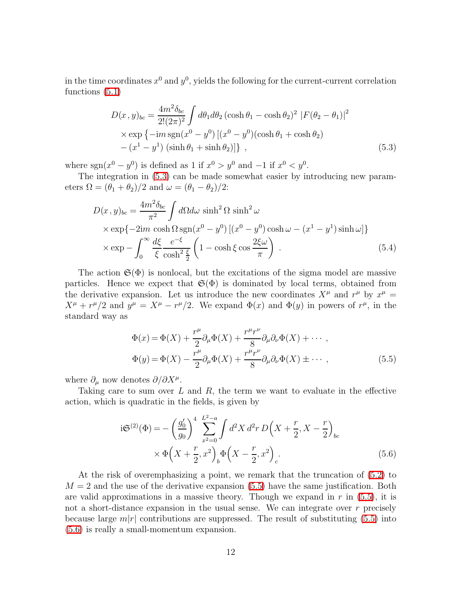<span id="page-12-0"></span>in the time coordinates  $x^0$  and  $y^0$ , yields the following for the current-current correlation functions [\(5.1\)](#page-11-1)

$$
D(x, y)_{bc} = \frac{4m^2 \delta_{bc}}{2!(2\pi)^2} \int d\theta_1 d\theta_2 (\cosh \theta_1 - \cosh \theta_2)^2 |F(\theta_2 - \theta_1)|^2
$$
  
×  $\exp \{-im \text{sgn}(x^0 - y^0) [(x^0 - y^0)(\cosh \theta_1 + \cosh \theta_2) - (x^1 - y^1) (\sinh \theta_1 + \sinh \theta_2)]\},$  (5.3)

where  $sgn(x^0 - y^0)$  is defined as 1 if  $x^0 > y^0$  and  $-1$  if  $x^0 < y^0$ .

<span id="page-12-3"></span>The integration in [\(5.3\)](#page-12-0) can be made somewhat easier by introducing new parameters  $\Omega = (\theta_1 + \theta_2)/2$  and  $\omega = (\theta_1 - \theta_2)/2$ :

$$
D(x, y)_{bc} = \frac{4m^2 \delta_{bc}}{\pi^2} \int d\Omega d\omega \sinh^2 \Omega \sinh^2 \omega
$$
  
×  $\exp\{-2im \cosh \Omega \sin(x^0 - y^0) [(x^0 - y^0) \cosh \omega - (x^1 - y^1) \sinh \omega] \}$   
×  $\exp - \int_0^\infty \frac{d\xi}{\xi} \frac{e^{-\xi}}{\cosh^2 \xi} \left(1 - \cosh \xi \cos \frac{2\xi \omega}{\pi}\right)$ . (5.4)

The action  $\mathfrak{S}(\Phi)$  is nonlocal, but the excitations of the sigma model are massive particles. Hence we expect that  $\mathfrak{S}(\Phi)$  is dominated by local terms, obtained from the derivative expansion. Let us introduce the new coordinates  $X^{\mu}$  and  $r^{\mu}$  by  $x^{\mu} =$  $X^{\mu} + r^{\mu}/2$  and  $y^{\mu} = X^{\mu} - r^{\mu}/2$ . We expand  $\Phi(x)$  and  $\Phi(y)$  in powers of  $r^{\mu}$ , in the standard way as

$$
\Phi(x) = \Phi(X) + \frac{r^{\mu}}{2} \partial_{\mu} \Phi(X) + \frac{r^{\mu} r^{\nu}}{8} \partial_{\mu} \partial_{\nu} \Phi(X) + \cdots ,
$$
  

$$
\Phi(y) = \Phi(X) - \frac{r^{\mu}}{2} \partial_{\mu} \Phi(X) + \frac{r^{\mu} r^{\nu}}{8} \partial_{\mu} \partial_{\nu} \Phi(X) \pm \cdots ,
$$
(5.5)

<span id="page-12-1"></span>where  $\partial_{\mu}$  now denotes  $\partial/\partial X^{\mu}$ .

<span id="page-12-2"></span>Taking care to sum over  $L$  and  $R$ , the term we want to evaluate in the effective action, which is quadratic in the fields, is given by

$$
i\mathfrak{S}^{(2)}(\Phi) = -\left(\frac{g_0'}{g_0}\right)^4 \sum_{x^2=0}^{L^2-a} \int d^2X \, d^2r \, D\left(X + \frac{r}{2}, X - \frac{r}{2}\right)_{bc}
$$

$$
\times \Phi\left(X + \frac{r}{2}, x^2\right)_b \Phi\left(X - \frac{r}{2}, x^2\right)_c.
$$
(5.6)

At the risk of overemphasizing a point, we remark that the truncation of [\(5.2\)](#page-11-0) to  $M = 2$  and the use of the derivative expansion [\(5.5\)](#page-12-1) have the same justification. Both are valid approximations in a massive theory. Though we expand in  $r$  in  $(5.5)$ , it is not a short-distance expansion in the usual sense. We can integrate over  $r$  precisely because large  $m|r|$  contributions are suppressed. The result of substituting [\(5.5\)](#page-12-1) into [\(5.6\)](#page-12-2) is really a small-momentum expansion.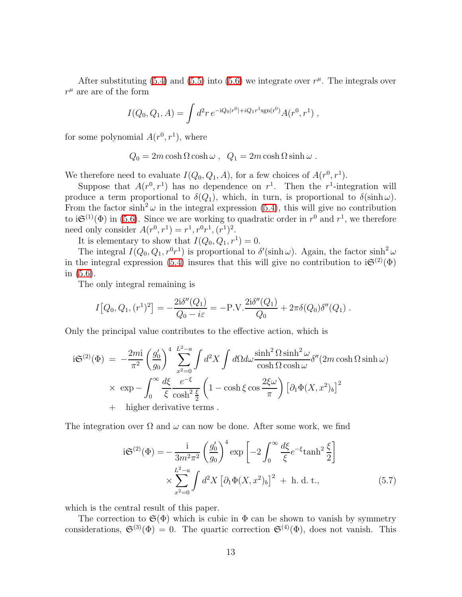After substituting [\(5.4\)](#page-12-3) and [\(5.5\)](#page-12-1) into [\(5.6\)](#page-12-2) we integrate over  $r^{\mu}$ . The integrals over  $r^\mu$  are are of the form

$$
I(Q_0, Q_1, A) = \int d^2r \, e^{-iQ_0|r^0| + iQ_1r^1 \text{sgn}(r^0)} A(r^0, r^1) ,
$$

for some polynomial  $A(r^0, r^1)$ , where

$$
Q_0 = 2m \cosh \Omega \cosh \omega , \quad Q_1 = 2m \cosh \Omega \sinh \omega .
$$

We therefore need to evaluate  $I(Q_0, Q_1, A)$ , for a few choices of  $A(r^0, r^1)$ .

Suppose that  $A(r^0, r^1)$  has no dependence on  $r^1$ . Then the r<sup>1</sup>-integration will produce a term proportional to  $\delta(Q_1)$ , which, in turn, is proportional to  $\delta(\sinh \omega)$ . From the factor  $\sinh^2 \omega$  in the integral expression [\(5.4\)](#page-12-3), this will give no contribution to  $i\mathfrak{S}^{(1)}(\Phi)$  in [\(5.6\)](#page-12-2). Since we are working to quadratic order in  $r^0$  and  $r^1$ , we therefore need only consider  $A(r^0, r^1) = r^1, r^0r^1, (r^1)^2$ .

It is elementary to show that  $I(Q_0, Q_1, r^1) = 0$ .

The integral  $I(Q_0, Q_1, r^0 r^1)$  is proportional to  $\delta'(\sinh \omega)$ . Again, the factor  $\sinh^2 \omega$ in the integral expression [\(5.4\)](#page-12-3) insures that this will give no contribution to  $i\mathfrak{S}^{(2)}(\Phi)$ in [\(5.6\)](#page-12-2).

The only integral remaining is

$$
I[Q_0, Q_1, (r^1)^2] = -\frac{2i\delta''(Q_1)}{Q_0 - i\varepsilon} = -P.V. \frac{2i\delta''(Q_1)}{Q_0} + 2\pi\delta(Q_0)\delta''(Q_1) .
$$

Only the principal value contributes to the effective action, which is

$$
i\mathfrak{S}^{(2)}(\Phi) = -\frac{2mi}{\pi^2} \left(\frac{g_0'}{g_0}\right)^4 \sum_{x^2=0}^{L^2-a} \int d^2X \int d\Omega d\omega \frac{\sinh^2\Omega \sinh^2\omega}{\cosh\Omega \cosh\omega} \delta''(2m \cosh\Omega \sinh\omega)
$$
  
 
$$
\times \exp - \int_0^\infty \frac{d\xi}{\xi} \frac{e^{-\xi}}{\cosh^2\frac{\xi}{2}} \left(1 - \cosh\xi\cos\frac{2\xi\omega}{\pi}\right) \left[\partial_1\Phi(X, x^2)_b\right]^2
$$
  
+ higher derivative terms.

<span id="page-13-0"></span>The integration over  $\Omega$  and  $\omega$  can now be done. After some work, we find

$$
i\mathfrak{S}^{(2)}(\Phi) = -\frac{i}{3m^2\pi^2} \left(\frac{g_0'}{g_0}\right)^4 \exp\left[-2\int_0^\infty \frac{d\xi}{\xi} e^{-\xi} \tanh^2\frac{\xi}{2}\right]
$$

$$
\times \sum_{x^2=0}^{L^2-a} \int d^2X \left[\partial_1 \Phi(X, x^2)_b\right]^2 + \text{h. d. t.},\tag{5.7}
$$

which is the central result of this paper.

The correction to  $\mathfrak{S}(\Phi)$  which is cubic in  $\Phi$  can be shown to vanish by symmetry considerations,  $\mathfrak{S}^{(3)}(\Phi) = 0$ . The quartic correction  $\mathfrak{S}^{(4)}(\Phi)$ , does not vanish. This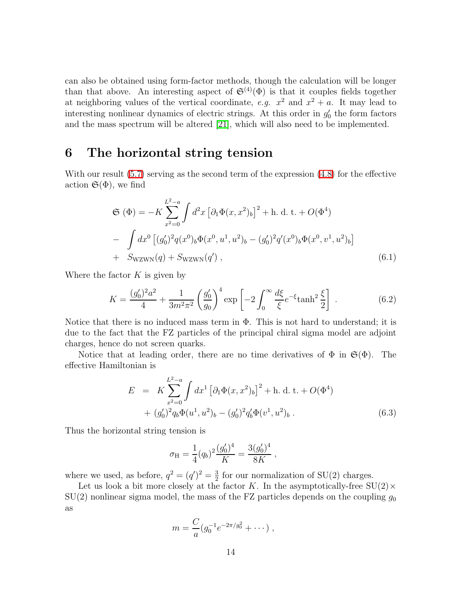can also be obtained using form-factor methods, though the calculation will be longer than that above. An interesting aspect of  $\mathfrak{S}^{(4)}(\Phi)$  is that it couples fields together at neighboring values of the vertical coordinate, e.g.  $x^2$  and  $x^2 + a$ . It may lead to interesting nonlinear dynamics of electric strings. At this order in  $g'_{0}$  the form factors and the mass spectrum will be altered [\[21\]](#page-35-1), which will also need to be implemented.

### 6 The horizontal string tension

With our result [\(5.7\)](#page-13-0) serving as the second term of the expression [\(4.8\)](#page-10-1) for the effective action  $\mathfrak{S}(\Phi)$ , we find

$$
\mathfrak{S}(\Phi) = -K \sum_{x^2=0}^{L^2-a} \int d^2x \left[ \partial_1 \Phi(x, x^2)_b \right]^2 + \text{h. d. t.} + O(\Phi^4)
$$
  
- 
$$
\int dx^0 \left[ (g'_0)^2 q(x^0)_b \Phi(x^0, u^1, u^2)_b - (g'_0)^2 q'(x^0)_b \Phi(x^0, v^1, u^2)_b \right]
$$
  
+ 
$$
S_{\text{WZWN}}(q) + S_{\text{WZWN}}(q'), \qquad (6.1)
$$

<span id="page-14-0"></span>Where the factor  $K$  is given by

$$
K = \frac{(g_0')^2 a^2}{4} + \frac{1}{3m^2 \pi^2} \left(\frac{g_0'}{g_0}\right)^4 \exp\left[-2 \int_0^\infty \frac{d\xi}{\xi} e^{-\xi} \tanh^2 \frac{\xi}{2}\right] \,. \tag{6.2}
$$

Notice that there is no induced mass term in  $\Phi$ . This is not hard to understand; it is due to the fact that the FZ particles of the principal chiral sigma model are adjoint charges, hence do not screen quarks.

Notice that at leading order, there are no time derivatives of  $\Phi$  in  $\mathfrak{S}(\Phi)$ . The effective Hamiltonian is

$$
E = K \sum_{x^2=0}^{L^2-a} \int dx^1 \left[ \partial_1 \Phi(x, x^2)_b \right]^2 + \text{h. d. t.} + O(\Phi^4)
$$
  
+  $(g'_0)^2 q_b \Phi(u^1, u^2)_b - (g'_0)^2 q'_b \Phi(v^1, u^2)_b$ . (6.3)

Thus the horizontal string tension is

$$
\sigma_{\rm H} = \frac{1}{4} (q_b)^2 \frac{(g_0')^4}{K} = \frac{3(g_0')^4}{8K} ,
$$

where we used, as before,  $q^2 = (q')^2 = \frac{3}{2}$  $\frac{3}{2}$  for our normalization of SU(2) charges.

Let us look a bit more closely at the factor K. In the asymptotically-free  $SU(2) \times$  $SU(2)$  nonlinear sigma model, the mass of the FZ particles depends on the coupling  $g_0$ as

$$
m = \frac{C}{a} (g_0^{-1} e^{-2\pi/g_0^2} + \cdots),
$$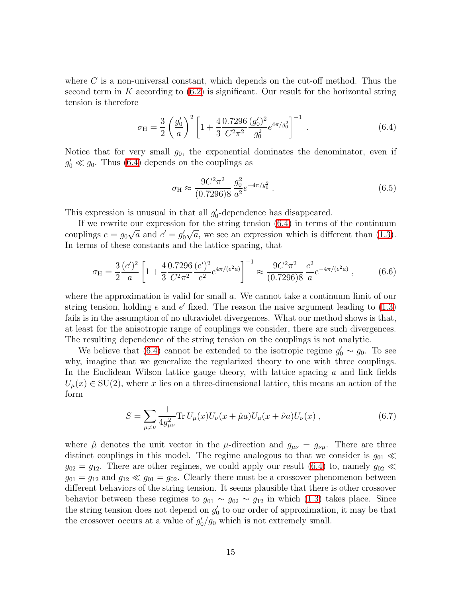where  $C$  is a non-universal constant, which depends on the cut-off method. Thus the second term in  $K$  according to  $(6.2)$  is significant. Our result for the horizontal string tension is therefore

$$
\sigma_{\rm H} = \frac{3}{2} \left( \frac{g_0'}{a} \right)^2 \left[ 1 + \frac{4}{3} \frac{0.7296}{C^2 \pi^2} \frac{(g_0')^2}{g_0^2} e^{4\pi/g_0^2} \right]^{-1} . \tag{6.4}
$$

<span id="page-15-0"></span>Notice that for very small  $g_0$ , the exponential dominates the denominator, even if  $g'_0 \ll g_0$ . Thus [\(6.4\)](#page-15-0) depends on the couplings as

$$
\sigma_{\rm H} \approx \frac{9C^2 \pi^2}{(0.7296)8} \frac{g_0^2}{a^2} e^{-4\pi/g_0^2} \,. \tag{6.5}
$$

This expression is unusual in that all  $g'_{0}$ -dependence has disappeared.

If we rewrite our expression for the string tension [\(6.4\)](#page-15-0) in terms of the continuum couplings  $e = g_0 \sqrt{a}$  and  $e' = g'_0 \sqrt{a}$ , we see an expression which is different than [\(1.3\)](#page-3-0). In terms of these constants and the lattice spacing, that

$$
\sigma_{\rm H} = \frac{3}{2} \frac{(e')^2}{a} \left[ 1 + \frac{4}{3} \frac{0.7296}{C^2 \pi^2} \frac{(e')^2}{e^2} e^{4\pi/(e^2 a)} \right]^{-1} \approx \frac{9C^2 \pi^2}{(0.7296)8} \frac{e^2}{a} e^{-4\pi/(e^2 a)}, \tag{6.6}
$$

where the approximation is valid for small a. We cannot take a continuum limit of our string tension, holding  $e$  and  $e'$  fixed. The reason the naive argument leading to  $(1.3)$ fails is in the assumption of no ultraviolet divergences. What our method shows is that, at least for the anisotropic range of couplings we consider, there are such divergences. The resulting dependence of the string tension on the couplings is not analytic.

We believe that [\(6.4\)](#page-15-0) cannot be extended to the isotropic regime  $g'_0 \sim g_0$ . To see why, imagine that we generalize the regularized theory to one with three couplings. In the Euclidean Wilson lattice gauge theory, with lattice spacing  $a$  and link fields  $U_{\mu}(x) \in SU(2)$ , where x lies on a three-dimensional lattice, this means an action of the form

$$
S = \sum_{\mu \neq \nu} \frac{1}{4g_{\mu\nu}^2} \text{Tr} \, U_{\mu}(x) U_{\nu}(x + \hat{\mu}a) U_{\mu}(x + \hat{\nu}a) U_{\nu}(x) \;, \tag{6.7}
$$

where  $\hat{\mu}$  denotes the unit vector in the  $\mu$ -direction and  $g_{\mu\nu} = g_{\nu\mu}$ . There are three distinct couplings in this model. The regime analogous to that we consider is  $g_{01} \ll$  $g_{02} = g_{12}$ . There are other regimes, we could apply our result [\(6.4\)](#page-15-0) to, namely  $g_{02} \ll$  $g_{01} = g_{12}$  and  $g_{12} \ll g_{01} = g_{02}$ . Clearly there must be a crossover phenomenon between different behaviors of the string tension. It seems plausible that there is other crossover behavior between these regimes to  $g_{01} \sim g_{02} \sim g_{12}$  in which [\(1.3\)](#page-3-0) takes place. Since the string tension does not depend on  $g'_{0}$  to our order of approximation, it may be that the crossover occurs at a value of  $g'_0/g_0$  which is not extremely small.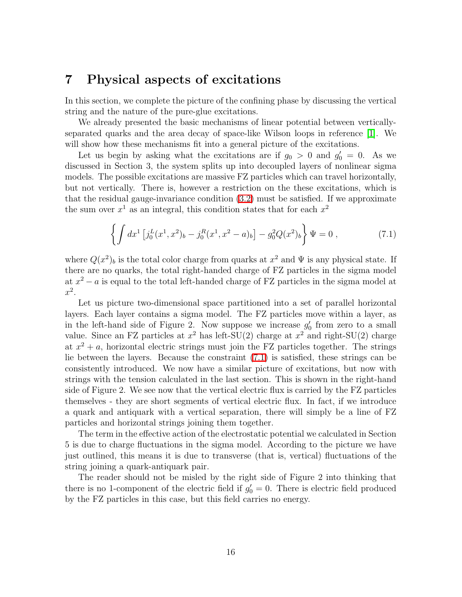#### 7 Physical aspects of excitations

In this section, we complete the picture of the confining phase by discussing the vertical string and the nature of the pure-glue excitations.

We already presented the basic mechanisms of linear potential between verticallyseparated quarks and the area decay of space-like Wilson loops in reference [\[1\]](#page-34-0). We will show how these mechanisms fit into a general picture of the excitations.

Let us begin by asking what the excitations are if  $g_0 > 0$  and  $g'_0 = 0$ . As we discussed in Section 3, the system splits up into decoupled layers of nonlinear sigma models. The possible excitations are massive FZ particles which can travel horizontally, but not vertically. There is, however a restriction on the these excitations, which is that the residual gauge-invariance condition [\(3.2\)](#page-6-1) must be satisfied. If we approximate the sum over  $x^1$  as an integral, this condition states that for each  $x^2$ 

$$
\left\{ \int dx^1 \left[ j_0^L(x^1, x^2)_b - j_0^R(x^1, x^2 - a)_b \right] - g_0^2 Q(x^2)_b \right\} \Psi = 0 , \qquad (7.1)
$$

<span id="page-16-0"></span>where  $Q(x^2)_b$  is the total color charge from quarks at  $x^2$  and  $\Psi$  is any physical state. If there are no quarks, the total right-handed charge of FZ particles in the sigma model at  $x^2 - a$  is equal to the total left-handed charge of FZ particles in the sigma model at  $x^2$ .

Let us picture two-dimensional space partitioned into a set of parallel horizontal layers. Each layer contains a sigma model. The FZ particles move within a layer, as in the left-hand side of Figure 2. Now suppose we increase  $g'_0$  from zero to a small value. Since an FZ particles at  $x^2$  has left-SU(2) charge at  $x^2$  and right-SU(2) charge at  $x^2 + a$ , horizontal electric strings must join the FZ particles together. The strings lie between the layers. Because the constraint [\(7.1\)](#page-16-0) is satisfied, these strings can be consistently introduced. We now have a similar picture of excitations, but now with strings with the tension calculated in the last section. This is shown in the right-hand side of Figure 2. We see now that the vertical electric flux is carried by the FZ particles themselves - they are short segments of vertical electric flux. In fact, if we introduce a quark and antiquark with a vertical separation, there will simply be a line of FZ particles and horizontal strings joining them together.

The term in the effective action of the electrostatic potential we calculated in Section 5 is due to charge fluctuations in the sigma model. According to the picture we have just outlined, this means it is due to transverse (that is, vertical) fluctuations of the string joining a quark-antiquark pair.

The reader should not be misled by the right side of Figure 2 into thinking that there is no 1-component of the electric field if  $g'_0 = 0$ . There is electric field produced by the FZ particles in this case, but this field carries no energy.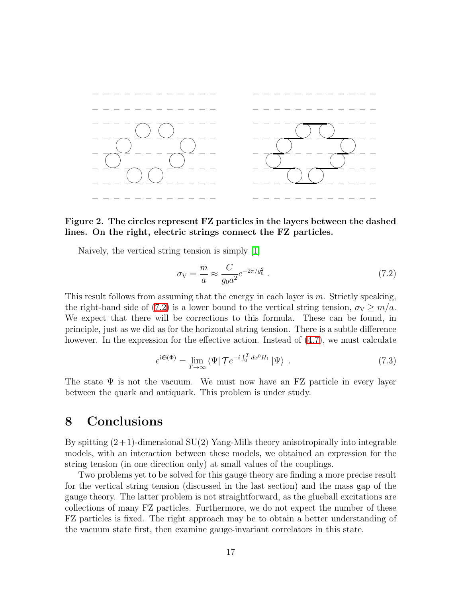

Figure 2. The circles represent FZ particles in the layers between the dashed lines. On the right, electric strings connect the FZ particles.

<span id="page-17-0"></span>Naively, the vertical string tension is simply [\[1\]](#page-34-0)

$$
\sigma_{\rm V} = \frac{m}{a} \approx \frac{C}{g_0 a^2} e^{-2\pi/g_0^2} \,. \tag{7.2}
$$

This result follows from assuming that the energy in each layer is  $m$ . Strictly speaking, the right-hand side of [\(7.2\)](#page-17-0) is a lower bound to the vertical string tension,  $\sigma_{\rm V} \ge m/a$ . We expect that there will be corrections to this formula. These can be found, in principle, just as we did as for the horizontal string tension. There is a subtle difference however. In the expression for the effective action. Instead of  $(4.7)$ , we must calculate

$$
e^{i\mathfrak{S}(\Phi)} = \lim_{T \to \infty} \langle \Psi | \mathcal{T} e^{-i \int_0^T dx^0 H_1} | \Psi \rangle \tag{7.3}
$$

The state  $\Psi$  is not the vacuum. We must now have an FZ particle in every layer between the quark and antiquark. This problem is under study.

### 8 Conclusions

By spitting  $(2+1)$ -dimensional SU(2) Yang-Mills theory anisotropically into integrable models, with an interaction between these models, we obtained an expression for the string tension (in one direction only) at small values of the couplings.

Two problems yet to be solved for this gauge theory are finding a more precise result for the vertical string tension (discussed in the last section) and the mass gap of the gauge theory. The latter problem is not straightforward, as the glueball excitations are collections of many FZ particles. Furthermore, we do not expect the number of these FZ particles is fixed. The right approach may be to obtain a better understanding of the vacuum state first, then examine gauge-invariant correlators in this state.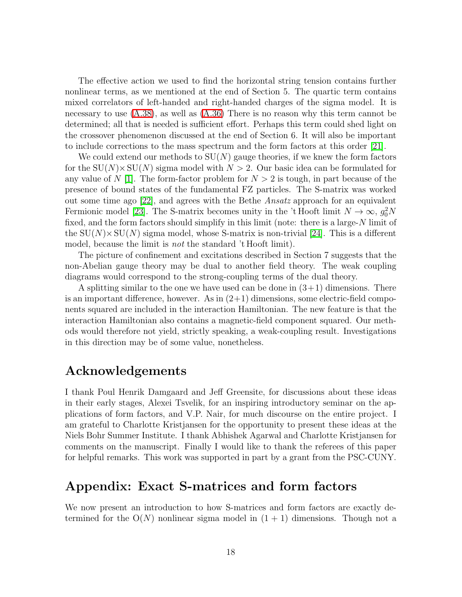The effective action we used to find the horizontal string tension contains further nonlinear terms, as we mentioned at the end of Section 5. The quartic term contains mixed correlators of left-handed and right-handed charges of the sigma model. It is necessary to use  $(A.38)$ , as well as  $(A.36)$  There is no reason why this term cannot be determined; all that is needed is sufficient effort. Perhaps this term could shed light on the crossover phenomenon discussed at the end of Section 6. It will also be important to include corrections to the mass spectrum and the form factors at this order [\[21\]](#page-35-1).

We could extend our methods to  $SU(N)$  gauge theories, if we knew the form factors for the  $SU(N) \times SU(N)$  sigma model with  $N > 2$ . Our basic idea can be formulated for any value of N [\[1\]](#page-34-0). The form-factor problem for  $N > 2$  is tough, in part because of the presence of bound states of the fundamental FZ particles. The S-matrix was worked out some time ago [\[22\]](#page-35-2), and agrees with the Bethe Ansatz approach for an equivalent Fermionic model [\[23\]](#page-35-3). The S-matrix becomes unity in the 't Hooft limit  $N \to \infty$ ,  $g_0^2 N$ fixed, and the form factors should simplify in this limit (note: there is a large-N limit of the  $SU(N) \times SU(N)$  sigma model, whose S-matrix is non-trivial [\[24\]](#page-35-4). This is a different model, because the limit is *not* the standard 't Hooft limit).

The picture of confinement and excitations described in Section 7 suggests that the non-Abelian gauge theory may be dual to another field theory. The weak coupling diagrams would correspond to the strong-coupling terms of the dual theory.

A splitting similar to the one we have used can be done in  $(3+1)$  dimensions. There is an important difference, however. As in  $(2+1)$  dimensions, some electric-field components squared are included in the interaction Hamiltonian. The new feature is that the interaction Hamiltonian also contains a magnetic-field component squared. Our methods would therefore not yield, strictly speaking, a weak-coupling result. Investigations in this direction may be of some value, nonetheless.

## Acknowledgements

I thank Poul Henrik Damgaard and Jeff Greensite, for discussions about these ideas in their early stages, Alexei Tsvelik, for an inspiring introductory seminar on the applications of form factors, and V.P. Nair, for much discourse on the entire project. I am grateful to Charlotte Kristjansen for the opportunity to present these ideas at the Niels Bohr Summer Institute. I thank Abhishek Agarwal and Charlotte Kristjansen for comments on the manuscript. Finally I would like to thank the referees of this paper for helpful remarks. This work was supported in part by a grant from the PSC-CUNY.

### Appendix: Exact S-matrices and form factors

We now present an introduction to how S-matrices and form factors are exactly determined for the  $O(N)$  nonlinear sigma model in  $(1 + 1)$  dimensions. Though not a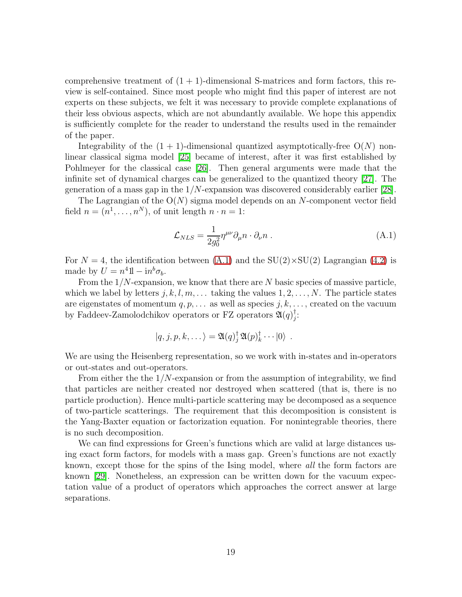comprehensive treatment of  $(1 + 1)$ -dimensional S-matrices and form factors, this review is self-contained. Since most people who might find this paper of interest are not experts on these subjects, we felt it was necessary to provide complete explanations of their less obvious aspects, which are not abundantly available. We hope this appendix is sufficiently complete for the reader to understand the results used in the remainder of the paper.

Integrability of the  $(1 + 1)$ -dimensional quantized asymptotically-free  $O(N)$  nonlinear classical sigma model [\[25\]](#page-35-5) became of interest, after it was first established by Pohlmeyer for the classical case [\[26\]](#page-35-6). Then general arguments were made that the infinite set of dynamical charges can be generalized to the quantized theory [\[27\]](#page-35-7). The generation of a mass gap in the  $1/N$ -expansion was discovered considerably earlier [\[28\]](#page-35-8).

The Lagrangian of the  $O(N)$  sigma model depends on an N-component vector field field  $n = (n^1, \ldots, n^N)$ , of unit length  $n \cdot n = 1$ :

<span id="page-19-0"></span>
$$
\mathcal{L}_{NLS} = \frac{1}{2g_0^2} \eta^{\mu\nu} \partial_\mu n \cdot \partial_\nu n \,. \tag{A.1}
$$

For  $N = 4$ , the identification between [\(A.1\)](#page-19-0) and the SU(2)×SU(2) Lagrangian [\(4.2\)](#page-8-0) is made by  $U = n^4 1 - i n^b \sigma_b$ .

From the  $1/N$ -expansion, we know that there are N basic species of massive particle, which we label by letters  $j, k, l, m, \ldots$  taking the values  $1, 2, \ldots, N$ . The particle states are eigenstates of momentum  $q, p, \ldots$  as well as species  $j, k, \ldots$ , created on the vacuum by Faddeev-Zamolodchikov operators or FZ operators  $\mathfrak{A}(q)_i^{\dagger}$ j :

$$
|q, j, p, k, \dots \rangle = \mathfrak{A}(q)_{j}^{\dagger} \mathfrak{A}(p)_{k}^{\dagger} \cdots |0\rangle.
$$

We are using the Heisenberg representation, so we work with in-states and in-operators or out-states and out-operators.

From either the  $1/N$ -expansion or from the assumption of integrability, we find that particles are neither created nor destroyed when scattered (that is, there is no particle production). Hence multi-particle scattering may be decomposed as a sequence of two-particle scatterings. The requirement that this decomposition is consistent is the Yang-Baxter equation or factorization equation. For nonintegrable theories, there is no such decomposition.

We can find expressions for Green's functions which are valid at large distances using exact form factors, for models with a mass gap. Green's functions are not exactly known, except those for the spins of the Ising model, where all the form factors are known [\[29\]](#page-35-9). Nonetheless, an expression can be written down for the vacuum expectation value of a product of operators which approaches the correct answer at large separations.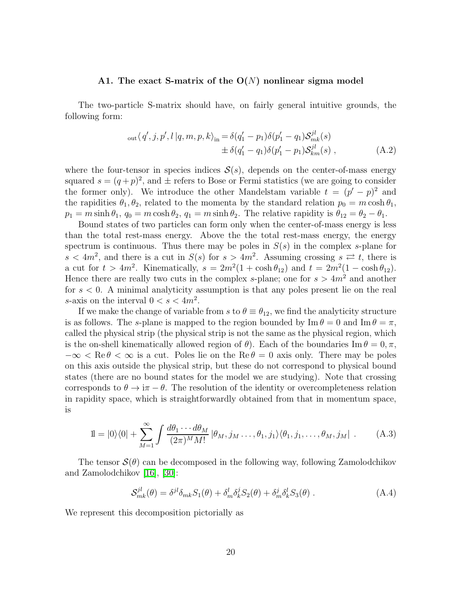#### A1. The exact S-matrix of the  $O(N)$  nonlinear sigma model

<span id="page-20-1"></span>The two-particle S-matrix should have, on fairly general intuitive grounds, the following form:

out 
$$
\langle q', j, p', l | q, m, p, k \rangle_{\text{in}} = \delta(q'_1 - p_1) \delta(p'_1 - q_1) S_{mk}^{jl}(s)
$$
  
\n
$$
\pm \delta(q'_1 - q_1) \delta(p'_1 - p_1) S_{km}^{jl}(s) ,
$$
\n(A.2)

where the four-tensor in species indices  $S(s)$ , depends on the center-of-mass energy squared  $s = (q+p)^2$ , and  $\pm$  refers to Bose or Fermi statistics (we are going to consider the former only). We introduce the other Mandelstam variable  $t = (p' - p)^2$  and the rapidities  $\theta_1, \theta_2$ , related to the momenta by the standard relation  $p_0 = m \cosh \theta_1$ ,  $p_1 = m \sinh \theta_1$ ,  $q_0 = m \cosh \theta_2$ ,  $q_1 = m \sinh \theta_2$ . The relative rapidity is  $\theta_{12} = \theta_2 - \theta_1$ .

Bound states of two particles can form only when the center-of-mass energy is less than the total rest-mass energy. Above the the total rest-mass energy, the energy spectrum is continuous. Thus there may be poles in  $S(s)$  in the complex s-plane for  $s < 4m^2$ , and there is a cut in  $S(s)$  for  $s > 4m^2$ . Assuming crossing  $s \nightharpoonup t$ , there is a cut for  $t > 4m^2$ . Kinematically,  $s = 2m^2(1 + \cosh \theta_{12})$  and  $t = 2m^2(1 - \cosh \theta_{12})$ . Hence there are really two cuts in the complex s-plane; one for  $s > 4m^2$  and another for  $s < 0$ . A minimal analyticity assumption is that any poles present lie on the real s-axis on the interval  $0 < s < 4m^2$ .

If we make the change of variable from s to  $\theta \equiv \theta_{12}$ , we find the analyticity structure is as follows. The s-plane is mapped to the region bounded by  $\text{Im } \theta = 0$  and  $\text{Im } \theta = \pi$ , called the physical strip (the physical strip is not the same as the physical region, which is the on-shell kinematically allowed region of  $\theta$ ). Each of the boundaries Im  $\theta = 0, \pi$ ,  $-\infty < \text{Re } \theta < \infty$  is a cut. Poles lie on the  $\text{Re } \theta = 0$  axis only. There may be poles on this axis outside the physical strip, but these do not correspond to physical bound states (there are no bound states for the model we are studying). Note that crossing corresponds to  $\theta \to i\pi - \theta$ . The resolution of the identity or overcompleteness relation in rapidity space, which is straightforwardly obtained from that in momentum space, is

$$
1 = |0\rangle\langle 0| + \sum_{M=1}^{\infty} \int \frac{d\theta_1 \cdots d\theta_M}{(2\pi)^M M!} |\theta_M, j_M \dots, \theta_1, j_1\rangle\langle \theta_1, j_1, \dots, \theta_M, j_M| \tag{A.3}
$$

<span id="page-20-0"></span>The tensor  $\mathcal{S}(\theta)$  can be decomposed in the following way, following Zamolodchikov and Zamolodchikov [\[16\]](#page-34-15), [\[30\]](#page-35-10):

$$
S_{mk}^{jl}(\theta) = \delta^{jl}\delta_{mk}S_1(\theta) + \delta_m^l\delta_k^jS_2(\theta) + \delta_m^j\delta_k^lS_3(\theta) . \tag{A.4}
$$

<span id="page-20-2"></span>We represent this decomposition pictorially as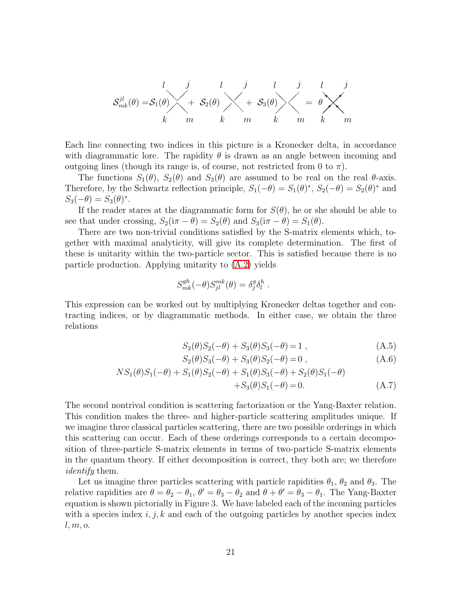

Each line connecting two indices in this picture is a Kronecker delta, in accordance with diagrammatic lore. The rapidity  $\theta$  is drawn as an angle between incoming and outgoing lines (though its range is, of course, not restricted from 0 to  $\pi$ ).

The functions  $S_1(\theta)$ ,  $S_2(\theta)$  and  $S_3(\theta)$  are assumed to be real on the real  $\theta$ -axis. Therefore, by the Schwartz reflection principle,  $S_1(-\theta) = S_1(\theta)^*$ ,  $S_2(-\theta) = S_2(\theta)^*$  and  $S_3(-\theta) = S_3(\theta)^*.$ 

If the reader stares at the diagrammatic form for  $S(\theta)$ , he or she should be able to see that under crossing,  $S_2(i\pi - \theta) = S_2(\theta)$  and  $S_3(i\pi - \theta) = S_1(\theta)$ .

There are two non-trivial conditions satisfied by the S-matrix elements which, together with maximal analyticity, will give its complete determination. The first of these is unitarity within the two-particle sector. This is satisfied because there is no particle production. Applying unitarity to [\(A.2\)](#page-20-1) yields

$$
S_{mk}^{gh}(-\theta)S_{jl}^{mk}(\theta) = \delta_j^g \delta_l^h.
$$

This expression can be worked out by multiplying Kronecker deltas together and contracting indices, or by diagrammatic methods. In either case, we obtain the three relations

$$
S_2(\theta)S_2(-\theta) + S_3(\theta)S_3(-\theta) = 1 , \qquad (A.5)
$$

<span id="page-21-0"></span>
$$
S_2(\theta)S_3(-\theta) + S_3(\theta)S_2(-\theta) = 0,
$$
\n(A.6)

$$
NS_1(\theta)S_1(-\theta) + S_1(\theta)S_2(-\theta) + S_1(\theta)S_3(-\theta) + S_2(\theta)S_1(-\theta) + S_3(\theta)S_1(-\theta) = 0.
$$
 (A.7)

The second nontrival condition is scattering factorization or the Yang-Baxter relation. This condition makes the three- and higher-particle scattering amplitudes unique. If we imagine three classical particles scattering, there are two possible orderings in which this scattering can occur. Each of these orderings corresponds to a certain decomposition of three-particle S-matrix elements in terms of two-particle S-matrix elements in the quantum theory. If either decomposition is correct, they both are; we therefore identify them.

Let us imagine three particles scattering with particle rapidities  $\theta_1$ ,  $\theta_2$  and  $\theta_3$ . The relative rapidities are  $\theta = \theta_2 - \theta_1$ ,  $\theta' = \theta_3 - \theta_2$  and  $\theta + \theta' = \theta_3 - \theta_1$ . The Yang-Baxter equation is shown pictorially in Figure 3. We have labeled each of the incoming particles with a species index  $i, j, k$  and each of the outgoing particles by another species index  $l, m, o.$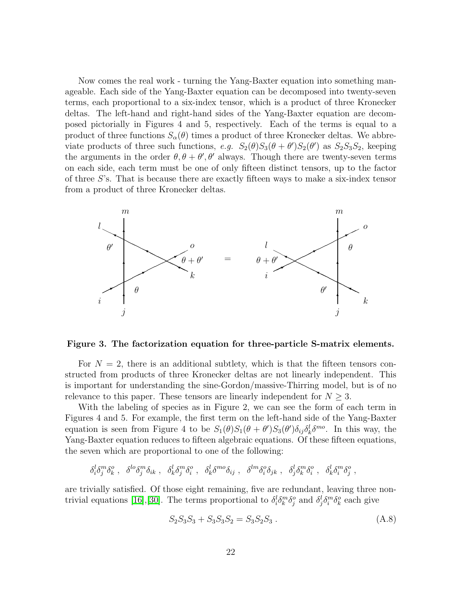Now comes the real work - turning the Yang-Baxter equation into something manageable. Each side of the Yang-Baxter equation can be decomposed into twenty-seven terms, each proportional to a six-index tensor, which is a product of three Kronecker deltas. The left-hand and right-hand sides of the Yang-Baxter equation are decomposed pictorially in Figures 4 and 5, respectively. Each of the terms is equal to a product of three functions  $S_{\alpha}(\theta)$  times a product of three Kronecker deltas. We abbreviate products of three such functions, e.g.  $S_2(\theta)S_3(\theta + \theta')S_2(\theta')$  as  $S_2S_3S_2$ , keeping the arguments in the order  $\theta$ ,  $\theta + \theta'$ ,  $\theta'$  always. Though there are twenty-seven terms on each side, each term must be one of only fifteen distinct tensors, up to the factor of three S's. That is because there are exactly fifteen ways to make a six-index tensor from a product of three Kronecker deltas.



Figure 3. The factorization equation for three-particle S-matrix elements.

For  $N = 2$ , there is an additional subtlety, which is that the fifteen tensors constructed from products of three Kronecker deltas are not linearly independent. This is important for understanding the sine-Gordon/massive-Thirring model, but is of no relevance to this paper. These tensors are linearly independent for  $N \geq 3$ .

With the labeling of species as in Figure 2, we can see the form of each term in Figures 4 and 5. For example, the first term on the left-hand side of the Yang-Baxter equation is seen from Figure 4 to be  $S_1(\theta)S_1(\theta+\theta')S_3(\theta')\delta_{ij}\delta_k^l\delta^{mo}$ . In this way, the Yang-Baxter equation reduces to fifteen algebraic equations. Of these fifteen equations, the seven which are proportional to one of the following:

<span id="page-22-0"></span>
$$
\delta^l_i\delta^m_j\delta^o_k\;,\ \ \delta^{lo}\delta^m_j\delta_{ik}\;,\ \ \delta^l_k\delta^m_j\delta^o_i\;,\ \ \delta^l_k\delta^{mo}\delta_{ij}\;,\ \ \delta^{lm}\delta^o_i\delta_{jk}\;,\ \ \delta^l_j\delta^m_k\delta^o_i\;,\ \ \delta^l_k\delta^m_i\delta^o_j\;,\ \
$$

are trivially satisfied. Of those eight remaining, five are redundant, leaving three non-trivial equations [\[16\]](#page-34-15), [\[30\]](#page-35-10). The terms proportional to  $\delta_i^l \delta_k^m \delta_j^o$  and  $\delta_j^l \delta_i^m \delta_k^o$  each give

$$
S_2 S_3 S_3 + S_3 S_3 S_2 = S_3 S_2 S_3 . \tag{A.8}
$$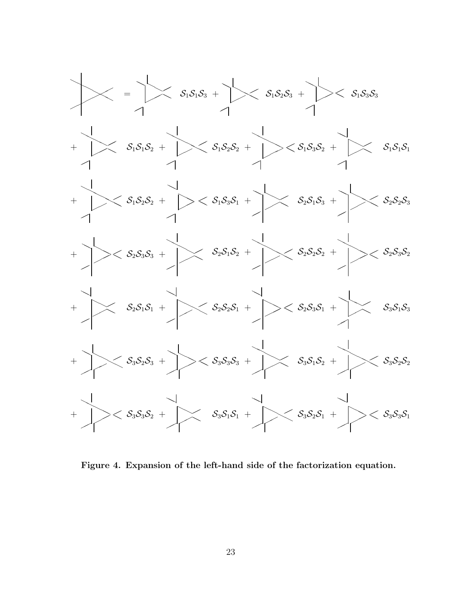

Figure 4. Expansion of the left-hand side of the factorization equation.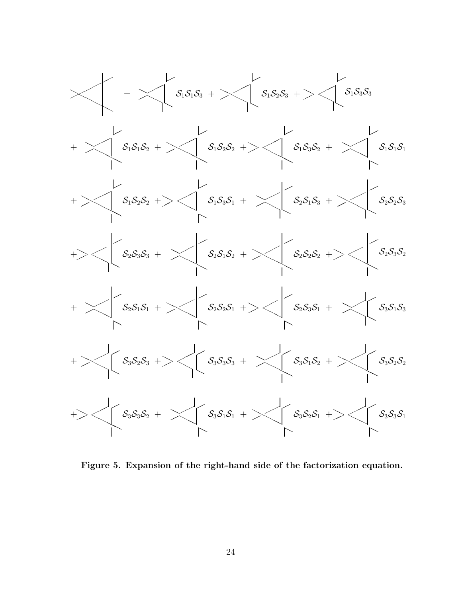

Figure 5. Expansion of the right-hand side of the factorization equation.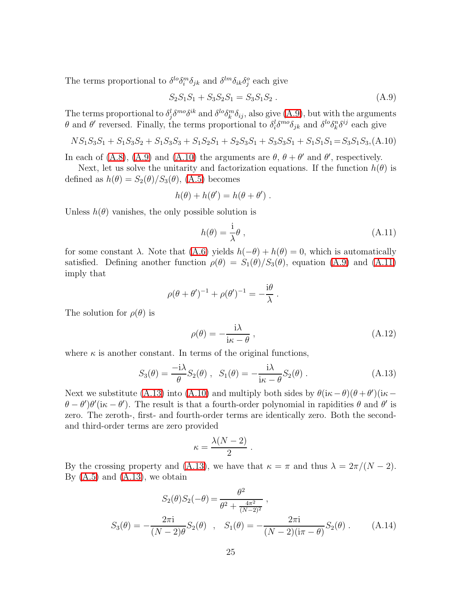<span id="page-25-0"></span>The terms proportional to  $\delta^{lo}\delta_i^m\delta_{jk}$  and  $\delta^{lm}\delta_{ik}\delta_j^o$  each give

$$
S_2 S_1 S_1 + S_3 S_2 S_1 = S_3 S_1 S_2 . \tag{A.9}
$$

The terms proportional to  $\delta_j^l \delta^{m_0} \delta^{ik}$  and  $\delta^{lo} \delta_k^m \delta_{ij}$ , also give [\(A.9\)](#page-25-0), but with the arguments θ and θ' reversed. Finally, the terms proportional to  $\delta_i^l \delta^{mo} \delta_{jk}$  and  $\delta^{lo} \delta_k^n \delta^{ij}$  each give

$$
NS_1S_3S_1 + S_1S_3S_2 + S_1S_3S_3 + S_1S_2S_1 + S_2S_3S_1 + S_3S_3S_1 + S_1S_1S_1 = S_3S_1S_3
$$
 (A.10)

<span id="page-25-1"></span>In each of [\(A.8\)](#page-22-0), [\(A.9\)](#page-25-0) and [\(A.10\)](#page-25-1) the arguments are  $\theta$ ,  $\theta + \theta'$  and  $\theta'$ , respectively.

Next, let us solve the unitarity and factorization equations. If the function  $h(\theta)$  is defined as  $h(\theta) = S_2(\theta)/S_3(\theta)$ , [\(A.5\)](#page-21-0) becomes

<span id="page-25-2"></span>
$$
h(\theta) + h(\theta') = h(\theta + \theta') .
$$

Unless  $h(\theta)$  vanishes, the only possible solution is

$$
h(\theta) = \frac{\mathrm{i}}{\lambda}\theta\,,\tag{A.11}
$$

for some constant  $\lambda$ . Note that  $(A.6)$  yields  $h(-\theta) + h(\theta) = 0$ , which is automatically satisfied. Defining another function  $\rho(\theta) = S_1(\theta)/S_3(\theta)$ , equation [\(A.9\)](#page-25-0) and [\(A.11\)](#page-25-2) imply that

$$
\rho(\theta + \theta')^{-1} + \rho(\theta')^{-1} = -\frac{\mathrm{i}\theta}{\lambda}
$$

The solution for  $\rho(\theta)$  is

$$
\rho(\theta) = -\frac{i\lambda}{i\kappa - \theta} \,,\tag{A.12}
$$

.

<span id="page-25-3"></span>where  $\kappa$  is another constant. In terms of the original functions,

$$
S_3(\theta) = \frac{-i\lambda}{\theta} S_2(\theta) , \quad S_1(\theta) = -\frac{i\lambda}{i\kappa - \theta} S_2(\theta) .
$$
 (A.13)

Next we substitute [\(A.13\)](#page-25-3) into [\(A.10\)](#page-25-1) and multiply both sides by  $\theta(i\kappa - \theta)(\theta + \theta')(i\kappa - \theta)$  $(\theta - \theta')\theta'$  (i $\kappa - \theta'$ ). The result is that a fourth-order polynomial in rapidities  $\theta$  and  $\theta'$  is zero. The zeroth-, first- and fourth-order terms are identically zero. Both the secondand third-order terms are zero provided

$$
\kappa = \frac{\lambda (N-2)}{2} \; .
$$

By the crossing property and [\(A.13\)](#page-25-3), we have that  $\kappa = \pi$  and thus  $\lambda = 2\pi/(N-2)$ . By  $(A.5)$  and  $(A.13)$ , we obtain

<span id="page-25-4"></span>
$$
S_2(\theta)S_2(-\theta) = \frac{\theta^2}{\theta^2 + \frac{4\pi^2}{(N-2)^2}},
$$
  
\n
$$
S_3(\theta) = -\frac{2\pi i}{(N-2)\theta}S_2(\theta), \quad S_1(\theta) = -\frac{2\pi i}{(N-2)(i\pi - \theta)}S_2(\theta).
$$
 (A.14)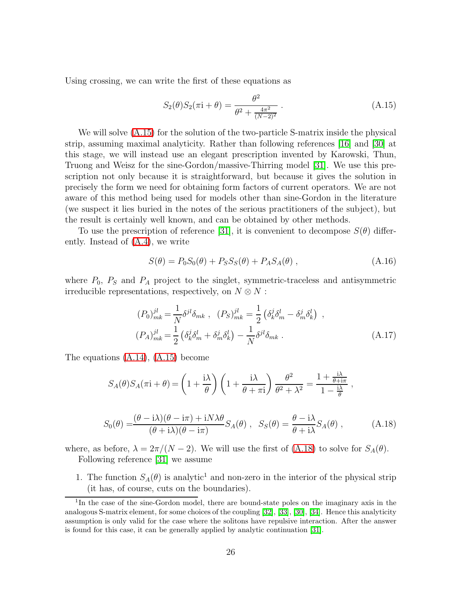<span id="page-26-0"></span>Using crossing, we can write the first of these equations as

$$
S_2(\theta)S_2(\pi i + \theta) = \frac{\theta^2}{\theta^2 + \frac{4\pi^2}{(N-2)^2}}.
$$
 (A.15)

We will solve [\(A.15\)](#page-26-0) for the solution of the two-particle S-matrix inside the physical strip, assuming maximal analyticity. Rather than following references [\[16\]](#page-34-15) and [\[30\]](#page-35-10) at this stage, we will instead use an elegant prescription invented by Karowski, Thun, Truong and Weisz for the sine-Gordon/massive-Thirring model [\[31\]](#page-35-11). We use this prescription not only because it is straightforward, but because it gives the solution in precisely the form we need for obtaining form factors of current operators. We are not aware of this method being used for models other than sine-Gordon in the literature (we suspect it lies buried in the notes of the serious practitioners of the subject), but the result is certainly well known, and can be obtained by other methods.

To use the prescription of reference [\[31\]](#page-35-11), it is convenient to decompose  $S(\theta)$  differently. Instead of [\(A.4\)](#page-20-2), we write

$$
S(\theta) = P_0 S_0(\theta) + P_S S_S(\theta) + P_A S_A(\theta) , \qquad (A.16)
$$

<span id="page-26-2"></span>where  $P_0$ ,  $P_S$  and  $P_A$  project to the singlet, symmetric-traceless and antisymmetric irreducible representations, respectively, on  $N \otimes N$ :

$$
(P_0)^{jl}_{mk} = \frac{1}{N} \delta^{jl} \delta_{mk} , \quad (P_S)^{jl}_{mk} = \frac{1}{2} \left( \delta^j_k \delta^l_m - \delta^j_m \delta^l_k \right) ,
$$

$$
(P_A)^{jl}_{mk} = \frac{1}{2} \left( \delta^j_k \delta^l_m + \delta^j_m \delta^l_k \right) - \frac{1}{N} \delta^{jl} \delta_{mk} .
$$
 (A.17)

The equations [\(A.14\)](#page-25-4), [\(A.15\)](#page-26-0) become

$$
S_A(\theta)S_A(\pi i + \theta) = \left(1 + \frac{i\lambda}{\theta}\right)\left(1 + \frac{i\lambda}{\theta + \pi i}\right)\frac{\theta^2}{\theta^2 + \lambda^2} = \frac{1 + \frac{i\lambda}{\theta + i\pi}}{1 - \frac{i\lambda}{\theta}},
$$

$$
S_0(\theta) = \frac{(\theta - i\lambda)(\theta - i\pi) + iN\lambda\theta}{(\theta + i\lambda)(\theta - i\pi)} S_A(\theta) , \quad S_S(\theta) = \frac{\theta - i\lambda}{\theta + i\lambda} S_A(\theta) , \quad (A.18)
$$

<span id="page-26-1"></span>where, as before,  $\lambda = 2\pi/(N-2)$ . We will use the first of [\(A.18\)](#page-26-1) to solve for  $S_A(\theta)$ . Following reference [\[31\]](#page-35-11) we assume

1. The function  $S_A(\theta)$  is analytic<sup>1</sup> and non-zero in the interior of the physical strip (it has, of course, cuts on the boundaries).

<sup>&</sup>lt;sup>1</sup>In the case of the sine-Gordon model, there are bound-state poles on the imaginary axis in the analogous S-matrix element, for some choices of the coupling [\[32\]](#page-35-12), [\[33\]](#page-35-13), [\[30\]](#page-35-10), [\[34\]](#page-35-14). Hence this analyticity assumption is only valid for the case where the solitons have repulsive interaction. After the answer is found for this case, it can be generally applied by analytic continuation [\[31\]](#page-35-11).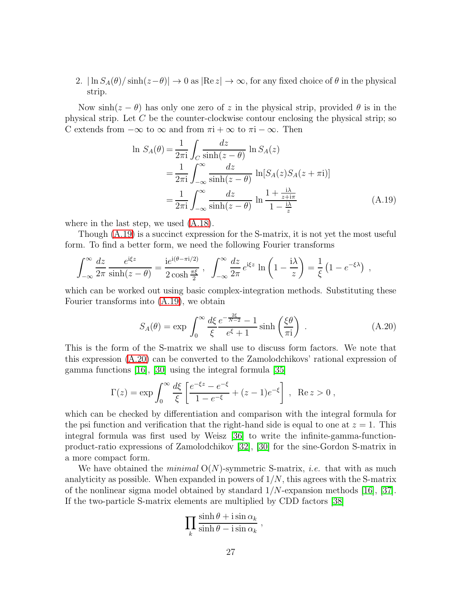2.  $|\ln S_A(\theta)/\sinh(z-\theta)| \to 0$  as  $|\text{Re } z| \to \infty$ , for any fixed choice of  $\theta$  in the physical strip.

<span id="page-27-0"></span>Now  $\sinh(z - \theta)$  has only one zero of z in the physical strip, provided  $\theta$  is in the physical strip. Let  $C$  be the counter-clockwise contour enclosing the physical strip; so C extends from  $-\infty$  to  $\infty$  and from  $\pi i + \infty$  to  $\pi i - \infty$ . Then

$$
\ln S_A(\theta) = \frac{1}{2\pi i} \int_C \frac{dz}{\sinh(z - \theta)} \ln S_A(z)
$$
  
= 
$$
\frac{1}{2\pi i} \int_{-\infty}^{\infty} \frac{dz}{\sinh(z - \theta)} \ln[S_A(z)S_A(z + \pi i)]
$$
  
= 
$$
\frac{1}{2\pi i} \int_{-\infty}^{\infty} \frac{dz}{\sinh(z - \theta)} \ln \frac{1 + \frac{i\lambda}{z + i\pi}}{1 - \frac{i\lambda}{z}}
$$
(A.19)

where in the last step, we used [\(A.18\)](#page-26-1).

Though [\(A.19\)](#page-27-0) is a succinct expression for the S-matrix, it is not yet the most useful form. To find a better form, we need the following Fourier transforms

$$
\int_{-\infty}^{\infty} \frac{dz}{2\pi} \frac{e^{i\xi z}}{\sinh(z-\theta)} = \frac{i e^{i(\theta-\pi i/2)}}{2 \cosh \frac{\pi \xi}{2}}, \quad \int_{-\infty}^{\infty} \frac{dz}{2\pi} e^{i\xi z} \ln\left(1-\frac{i\lambda}{z}\right) = \frac{1}{\xi} \left(1-e^{-\xi \lambda}\right) ,
$$

which can be worked out using basic complex-integration methods. Substituting these Fourier transforms into [\(A.19\)](#page-27-0), we obtain

$$
S_A(\theta) = \exp \int_0^\infty \frac{d\xi}{\xi} \frac{e^{-\frac{2\xi}{N-2}} - 1}{e^{\xi} + 1} \sinh\left(\frac{\xi\theta}{\pi i}\right) . \tag{A.20}
$$

<span id="page-27-1"></span>This is the form of the S-matrix we shall use to discuss form factors. We note that this expression [\(A.20\)](#page-27-1) can be converted to the Zamolodchikovs' rational expression of gamma functions [\[16\]](#page-34-15), [\[30\]](#page-35-10) using the integral formula [\[35\]](#page-36-0)

$$
\Gamma(z) = \exp \int_0^\infty \frac{d\xi}{\xi} \left[ \frac{e^{-\xi z} - e^{-\xi}}{1 - e^{-\xi}} + (z - 1)e^{-\xi} \right] , \quad \text{Re } z > 0 ,
$$

which can be checked by differentiation and comparison with the integral formula for the psi function and verification that the right-hand side is equal to one at  $z = 1$ . This integral formula was first used by Weisz [\[36\]](#page-36-1) to write the infinite-gamma-functionproduct-ratio expressions of Zamolodchikov [\[32\]](#page-35-12), [\[30\]](#page-35-10) for the sine-Gordon S-matrix in a more compact form.

We have obtained the *minimal*  $O(N)$ -symmetric S-matrix, *i.e.* that with as much analyticity as possible. When expanded in powers of  $1/N$ , this agrees with the S-matrix of the nonlinear sigma model obtained by standard  $1/N$ -expansion methods [\[16\]](#page-34-15), [37]. If the two-particle S-matrix elements are multiplied by CDD factors [\[38\]](#page-36-2)

$$
\prod_k \frac{\sinh \theta + i \sin \alpha_k}{\sinh \theta - i \sin \alpha_k},
$$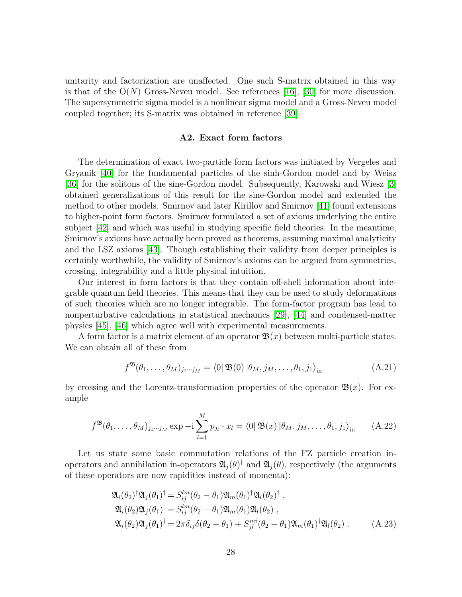unitarity and factorization are unaffected. One such S-matrix obtained in this way is that of the  $O(N)$  Gross-Neveu model. See references [\[16\]](#page-34-15), [\[30\]](#page-35-10) for more discussion. The supersymmetric sigma model is a nonlinear sigma model and a Gross-Neveu model coupled together; its S-matrix was obtained in reference [\[39\]](#page-36-3).

#### A2. Exact form factors

The determination of exact two-particle form factors was initiated by Vergeles and Gryanik [\[40\]](#page-36-4) for the fundamental particles of the sinh-Gordon model and by Weisz [\[36\]](#page-36-1) for the solitons of the sine-Gordon model. Subsequently, Karowski and Wiesz [\[3\]](#page-34-2) obtained generalizations of this result for the sine-Gordon model and extended the method to other models. Smirnov and later Kirillov and Smirnov [\[41\]](#page-36-5) found extensions to higher-point form factors. Smirnov formulated a set of axioms underlying the entire subject [\[42\]](#page-36-6) and which was useful in studying specific field theories. In the meantime, Smirnov's axioms have actually been proved as theorems, assuming maximal analyticity and the LSZ axioms [\[43\]](#page-36-7). Though establishing their validity from deeper principles is certainly worthwhile, the validity of Smirnov's axioms can be argued from symmetries, crossing, integrability and a little physical intuition.

Our interest in form factors is that they contain off-shell information about integrable quantum field theories. This means that they can be used to study deformations of such theories which are no longer integrable. The form-factor program has lead to nonperturbative calculations in statistical mechanics [\[29\]](#page-35-9), [\[44\]](#page-36-8) and condensed-matter physics [\[45\]](#page-36-9), [\[46\]](#page-36-10) which agree well with experimental measurements.

A form factor is a matrix element of an operator  $\mathfrak{B}(x)$  between multi-particle states. We can obtain all of these from

$$
f^{\mathfrak{B}}(\theta_1,\ldots,\theta_M)_{j_1\cdots j_M} = \langle 0|\mathfrak{B}(0)|\theta_M,j_M,\ldots,\theta_1,j_1\rangle_{\text{in}} \tag{A.21}
$$

by crossing and the Lorentz-transformation properties of the operator  $\mathfrak{B}(x)$ . For example

$$
f^{\mathfrak{B}}(\theta_1,\ldots,\theta_M)_{j_1\cdots j_M} \exp -i \sum_{l=1}^M p_{j_l} \cdot x_l = \langle 0 | \mathfrak{B}(x) | \theta_M, j_M, \ldots, \theta_1, j_1 \rangle_{\text{in}} \qquad (A.22)
$$

<span id="page-28-1"></span><span id="page-28-0"></span>Let us state some basic commutation relations of the FZ particle creation inoperators and annihilation in-operators  $\mathfrak{A}_j(\theta)^\dagger$  and  $\mathfrak{A}_j(\theta)$ , respectively (the arguments of these operators are now rapidities instead of momenta):

$$
\mathfrak{A}_{i}(\theta_{2})^{\dagger}\mathfrak{A}_{j}(\theta_{1})^{\dagger} = S_{ij}^{lm}(\theta_{2} - \theta_{1})\mathfrak{A}_{m}(\theta_{1})^{\dagger}\mathfrak{A}_{l}(\theta_{2})^{\dagger}, \n\mathfrak{A}_{i}(\theta_{2})\mathfrak{A}_{j}(\theta_{1}) = S_{ij}^{lm}(\theta_{2} - \theta_{1})\mathfrak{A}_{m}(\theta_{1})\mathfrak{A}_{l}(\theta_{2}), \n\mathfrak{A}_{i}(\theta_{2})\mathfrak{A}_{j}(\theta_{1})^{\dagger} = 2\pi\delta_{ij}\delta(\theta_{2} - \theta_{1}) + S_{jl}^{mi}(\theta_{2} - \theta_{1})\mathfrak{A}_{m}(\theta_{1})^{\dagger}\mathfrak{A}_{l}(\theta_{2}).
$$
\n(A.23)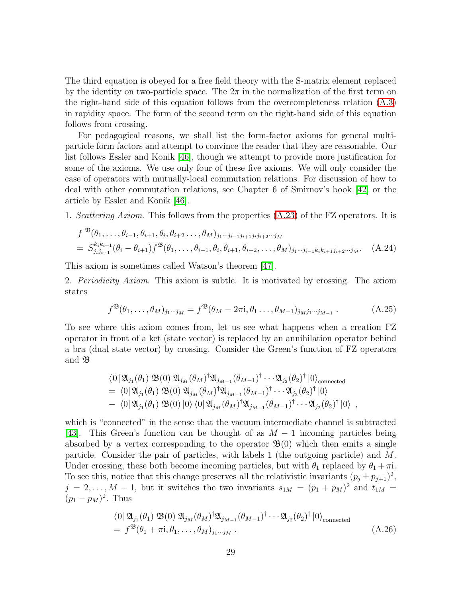The third equation is obeyed for a free field theory with the S-matrix element replaced by the identity on two-particle space. The  $2\pi$  in the normalization of the first term on the right-hand side of this equation follows from the overcompleteness relation [\(A.3\)](#page-20-0) in rapidity space. The form of the second term on the right-hand side of this equation follows from crossing.

For pedagogical reasons, we shall list the form-factor axioms for general multiparticle form factors and attempt to convince the reader that they are reasonable. Our list follows Essler and Konik [\[46\]](#page-36-10), though we attempt to provide more justification for some of the axioms. We use only four of these five axioms. We will only consider the case of operators with mutually-local commutation relations. For discussion of how to deal with other commutation relations, see Chapter 6 of Smirnov's book [\[42\]](#page-36-6) or the article by Essler and Konik [\[46\]](#page-36-10).

1. Scattering Axiom. This follows from the properties [\(A.23\)](#page-28-0) of the FZ operators. It is

$$
f^{\mathfrak{B}}(\theta_1, \ldots, \theta_{i-1}, \theta_{i+1}, \theta_i, \theta_{i+2}, \ldots, \theta_M)_{j_1 \cdots j_{i-1} j_{i+1} j_i j_{i+2} \cdots j_M}
$$
  
=  $S^{k_ik_{i+1}}_{j_i j_{i+1}} (\theta_i - \theta_{i+1}) f^{\mathfrak{B}}(\theta_1, \ldots, \theta_{i-1}, \theta_i, \theta_{i+1}, \theta_{i+2}, \ldots, \theta_M)_{j_1 \cdots j_{i-1} k_i k_{i+1} j_{i+2} \cdots j_M}.$  (A.24)

This axiom is sometimes called Watson's theorem [\[47\]](#page-36-11).

2. Periodicity Axiom. This axiom is subtle. It is motivated by crossing. The axiom states

$$
f^{\mathfrak{B}}(\theta_1,\ldots,\theta_M)_{j_1\cdots j_M} = f^{\mathfrak{B}}(\theta_M - 2\pi i, \theta_1 \ldots, \theta_{M-1})_{j_M j_1\cdots j_{M-1}}.
$$
 (A.25)

To see where this axiom comes from, let us see what happens when a creation FZ operator in front of a ket (state vector) is replaced by an annihilation operator behind a bra (dual state vector) by crossing. Consider the Green's function of FZ operators and B

$$
\langle 0 | \mathfrak{A}_{j_1}(\theta_1) \mathfrak{B}(0) \mathfrak{A}_{j_M}(\theta_M)^\dagger \mathfrak{A}_{j_{M-1}}(\theta_{M-1})^\dagger \cdots \mathfrak{A}_{j_2}(\theta_2)^\dagger |0\rangle_{\text{connected}}
$$
  
= 
$$
\langle 0 | \mathfrak{A}_{j_1}(\theta_1) \mathfrak{B}(0) \mathfrak{A}_{j_M}(\theta_M)^\dagger \mathfrak{A}_{j_{M-1}}(\theta_{M-1})^\dagger \cdots \mathfrak{A}_{j_2}(\theta_2)^\dagger |0\rangle
$$
  
- 
$$
\langle 0 | \mathfrak{A}_{j_1}(\theta_1) \mathfrak{B}(0) |0\rangle \langle 0 | \mathfrak{A}_{j_M}(\theta_M)^\dagger \mathfrak{A}_{j_{M-1}}(\theta_{M-1})^\dagger \cdots \mathfrak{A}_{j_2}(\theta_2)^\dagger |0\rangle ,
$$

which is "connected" in the sense that the vacuum intermediate channel is subtracted [\[43\]](#page-36-7). This Green's function can be thought of as  $M-1$  incoming particles being absorbed by a vertex corresponding to the operator  $\mathfrak{B}(0)$  which then emits a single particle. Consider the pair of particles, with labels 1 (the outgoing particle) and M. Under crossing, these both become incoming particles, but with  $\theta_1$  replaced by  $\theta_1 + \pi i$ . To see this, notice that this change preserves all the relativistic invariants  $(p_j \pm p_{j+1})^2$ ,  $j = 2, \ldots, M - 1$ , but it switches the two invariants  $s_{1M} = (p_1 + p_M)^2$  and  $t_{1M} =$  $(p_1 - p_M)^2$ . Thus

<span id="page-29-0"></span>
$$
\langle 0 | \mathfrak{A}_{j_1}(\theta_1) \mathfrak{B}(0) \mathfrak{A}_{j_M}(\theta_M)^\dagger \mathfrak{A}_{j_{M-1}}(\theta_{M-1})^\dagger \cdots \mathfrak{A}_{j_2}(\theta_2)^\dagger |0\rangle_{\text{connected}}
$$
  
=  $f^{\mathfrak{B}}(\theta_1 + \pi i, \theta_1, \ldots, \theta_M)_{j_1 \cdots j_M}$ . (A.26)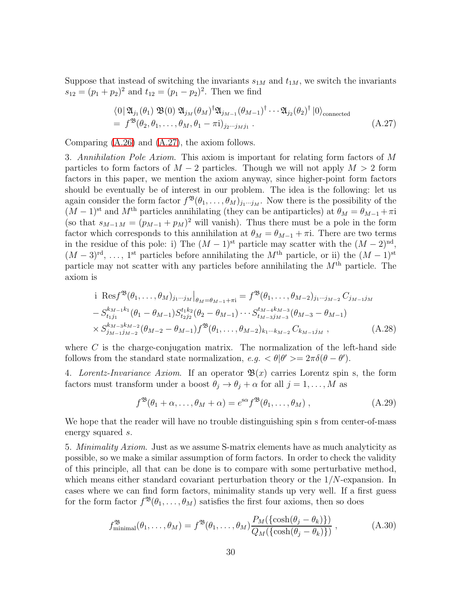<span id="page-30-0"></span>Suppose that instead of switching the invariants  $s_{1M}$  and  $t_{1M}$ , we switch the invariants  $s_{12} = (p_1 + p_2)^2$  and  $t_{12} = (p_1 - p_2)^2$ . Then we find

$$
\langle 0 | \mathfrak{A}_{j_1}(\theta_1) \mathfrak{B}(0) \mathfrak{A}_{j_M}(\theta_M)^\dagger \mathfrak{A}_{j_{M-1}}(\theta_{M-1})^\dagger \cdots \mathfrak{A}_{j_2}(\theta_2)^\dagger |0\rangle_{\text{connected}}
$$
  
=  $f^{\mathfrak{B}}(\theta_2, \theta_1, \ldots, \theta_M, \theta_1 - \pi i)_{j_2 \cdots j_M j_1}$ . (A.27)

Comparing [\(A.26\)](#page-29-0) and [\(A.27\)](#page-30-0), the axiom follows.

3. Annihilation Pole Axiom. This axiom is important for relating form factors of M particles to form factors of  $M - 2$  particles. Though we will not apply  $M > 2$  form factors in this paper, we mention the axiom anyway, since higher-point form factors should be eventually be of interest in our problem. The idea is the following: let us again consider the form factor  $f^{\mathfrak{B}}(\theta_1,\ldots,\theta_M)_{j_1\cdots j_M}$ . Now there is the possibility of the  $(M-1)$ <sup>st</sup> and  $M<sup>th</sup>$  particles annihilating (they can be antiparticles) at  $\theta_M = \theta_{M-1} + \pi i$ (so that  $s_{M-1,M} = (p_{M-1} + p_M)^2$  will vanish). Thus there must be a pole in the form factor which corresponds to this annihilation at  $\theta_M = \theta_{M-1} + \pi i$ . There are two terms in the residue of this pole: i) The  $(M-1)$ <sup>st</sup> particle may scatter with the  $(M-2)$ <sup>nd</sup>,  $(M-3)^{\text{rd}}, \ldots, 1^{\text{st}}$  particles before annihilating the  $M^{\text{th}}$  particle, or ii) the  $(M-1)^{\text{st}}$ particle may not scatter with any particles before annihilating the  $M<sup>th</sup>$  particle. The axiom is

$$
\begin{split}\n&\text{i Res } f^{\mathfrak{B}}(\theta_{1}, \ldots, \theta_{M})_{j_{1}\cdots j_{M}}\big|_{\theta_{M}=\theta_{M-1}+\pi\text{i}} = f^{\mathfrak{B}}(\theta_{1}, \ldots, \theta_{M-2})_{j_{1}\cdots j_{M-2}} C_{j_{M-1}j_{M}} \\
&- S^{k_{M-1}k_{1}}_{t_{1}j_{1}}(\theta_{1}-\theta_{M-1}) S^{t_{1}k_{2}}_{t_{2}j_{2}}(\theta_{2}-\theta_{M-1}) \cdots S^{t_{M-4}k_{M-3}}_{t_{M-3}j_{M-3}}(\theta_{M-3}-\theta_{M-1}) \\
&\times S^{k_{M-3}k_{M-2}}_{j_{M-1}j_{M-2}}(\theta_{M-2}-\theta_{M-1}) f^{\mathfrak{B}}(\theta_{1}, \ldots, \theta_{M-2})_{k_{1}\cdots k_{M-2}} C_{k_{M-1}j_{M}},\n\end{split} \tag{A.28}
$$

where  $C$  is the charge-conjugation matrix. The normalization of the left-hand side follows from the standard state normalization,  $e.g. < \theta | \theta' \rangle = 2\pi \delta(\theta - \theta').$ 

4. Lorentz-Invariance Axiom. If an operator  $\mathfrak{B}(x)$  carries Lorentz spin s, the form factors must transform under a boost  $\theta_j \to \theta_j + \alpha$  for all  $j = 1, ..., M$  as

$$
f^{\mathfrak{B}}(\theta_1 + \alpha, \dots, \theta_M + \alpha) = e^{s\alpha} f^{\mathfrak{B}}(\theta_1, \dots, \theta_M) , \qquad (A.29)
$$

We hope that the reader will have no trouble distinguishing spin s from center-of-mass energy squared s.

5. Minimality Axiom. Just as we assume S-matrix elements have as much analyticity as possible, so we make a similar assumption of form factors. In order to check the validity of this principle, all that can be done is to compare with some perturbative method, which means either standard covariant perturbation theory or the  $1/N$ -expansion. In cases where we can find form factors, minimality stands up very well. If a first guess for the form factor  $f^{\mathfrak{B}}(\theta_1,\ldots,\theta_M)$  satisfies the first four axioms, then so does

$$
f_{\text{minimal}}^{\mathfrak{B}}(\theta_1, \dots, \theta_M) = f^{\mathfrak{B}}(\theta_1, \dots, \theta_M) \frac{P_M(\{\cosh(\theta_j - \theta_k)\})}{Q_M(\{\cosh(\theta_j - \theta_k)\})}, \tag{A.30}
$$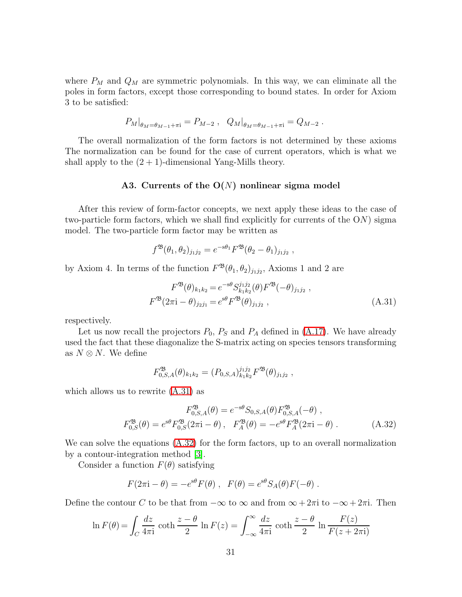where  $P_M$  and  $Q_M$  are symmetric polynomials. In this way, we can eliminate all the poles in form factors, except those corresponding to bound states. In order for Axiom 3 to be satisfied:

$$
P_M|_{\theta_M = \theta_{M-1} + \pi i} = P_{M-2} , Q_M|_{\theta_M = \theta_{M-1} + \pi i} = Q_{M-2} .
$$

The overall normalization of the form factors is not determined by these axioms The normalization can be found for the case of current operators, which is what we shall apply to the  $(2 + 1)$ -dimensional Yang-Mills theory.

#### A3. Currents of the  $O(N)$  nonlinear sigma model

After this review of form-factor concepts, we next apply these ideas to the case of two-particle form factors, which we shall find explicitly for currents of the  $ON$ ) sigma model. The two-particle form factor may be written as

$$
f^{\mathfrak{B}}(\theta_1, \theta_2)_{j_1 j_2} = e^{-s\theta_1} F^{\mathfrak{B}}(\theta_2 - \theta_1)_{j_1 j_2} ,
$$

by Axiom 4. In terms of the function  $F^{\mathfrak{B}}(\theta_1, \theta_2)_{j_1j_2}$ , Axioms 1 and 2 are

<span id="page-31-0"></span>
$$
F^{\mathfrak{B}}(\theta)_{k_1 k_2} = e^{-s\theta} S_{k_1 k_2}^{j_1 j_2}(\theta) F^{\mathfrak{B}}(-\theta)_{j_1 j_2} ,
$$
  

$$
F^{\mathfrak{B}}(2\pi i - \theta)_{j_2 j_1} = e^{s\theta} F^{\mathfrak{B}}(\theta)_{j_1 j_2} ,
$$
 (A.31)

respectively.

Let us now recall the projectors  $P_0$ ,  $P_S$  and  $P_A$  defined in [\(A.17\)](#page-26-2). We have already used the fact that these diagonalize the S-matrix acting on species tensors transforming as  $N \otimes N$ . We define

$$
F_{0,S,A}^{\mathfrak{B}}(\theta)_{k_1k_2} = (P_{0,S,A})_{k_1k_2}^{j_1j_2} F^{\mathfrak{B}}(\theta)_{j_1j_2},
$$

which allows us to rewrite [\(A.31\)](#page-31-0) as

<span id="page-31-1"></span>
$$
F_{0,S,A}^{\mathfrak{B}}(\theta) = e^{-s\theta} S_{0,S,A}(\theta) F_{0,S,A}^{\mathfrak{B}}(-\theta) ,
$$
  

$$
F_{0,S}^{\mathfrak{B}}(\theta) = e^{s\theta} F_{0,S}^{\mathfrak{B}}(2\pi i - \theta) , F_A^{\mathfrak{B}}(\theta) = -e^{s\theta} F_A^{\mathfrak{B}}(2\pi i - \theta) .
$$
 (A.32)

We can solve the equations  $(A.32)$  for the form factors, up to an overall normalization by a contour-integration method [\[3\]](#page-34-2).

Consider a function  $F(\theta)$  satisfying

$$
F(2\pi i - \theta) = -e^{s\theta} F(\theta) , F(\theta) = e^{s\theta} S_A(\theta) F(-\theta) .
$$

Define the contour C to be that from  $-\infty$  to  $\infty$  and from  $\infty + 2\pi i$  to  $-\infty + 2\pi i$ . Then

$$
\ln F(\theta) = \int_C \frac{dz}{4\pi i} \coth \frac{z - \theta}{2} \ln F(z) = \int_{-\infty}^{\infty} \frac{dz}{4\pi i} \coth \frac{z - \theta}{2} \ln \frac{F(z)}{F(z + 2\pi i)}
$$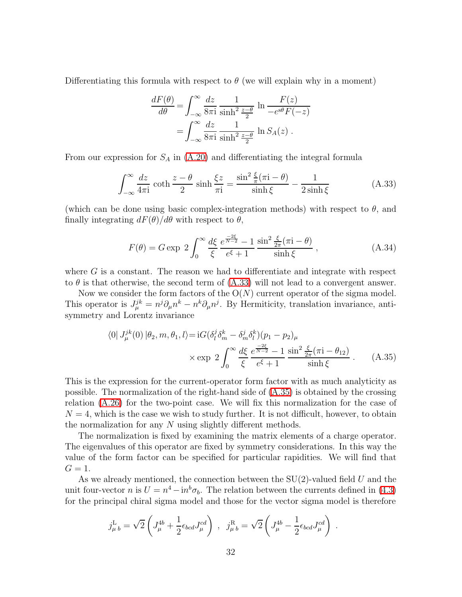Differentiating this formula with respect to  $\theta$  (we will explain why in a moment)

$$
\frac{dF(\theta)}{d\theta} = \int_{-\infty}^{\infty} \frac{dz}{8\pi i} \frac{1}{\sinh^2 \frac{z-\theta}{2}} \ln \frac{F(z)}{-e^{s\theta}F(-z)}
$$

$$
= \int_{-\infty}^{\infty} \frac{dz}{8\pi i} \frac{1}{\sinh^2 \frac{z-\theta}{2}} \ln S_A(z) .
$$

<span id="page-32-1"></span>From our expression for  $S_A$  in  $(A.20)$  and differentiating the integral formula

$$
\int_{-\infty}^{\infty} \frac{dz}{4\pi i} \coth \frac{z - \theta}{2} \sinh \frac{\xi z}{\pi i} = \frac{\sin^2 \frac{\xi}{\pi} (\pi i - \theta)}{\sinh \xi} - \frac{1}{2 \sinh \xi}
$$
(A.33)

(which can be done using basic complex-integration methods) with respect to  $\theta$ , and finally integrating  $dF(\theta)/d\theta$  with respect to  $\theta$ ,

$$
F(\theta) = G \exp \ 2 \int_0^\infty \frac{d\xi}{\xi} \frac{e^{\frac{-2\xi}{N-2}} - 1}{e^{\xi} + 1} \frac{\sin^2 \frac{\xi}{2\pi} (\pi i - \theta)}{\sinh \xi} , \qquad (A.34)
$$

where G is a constant. The reason we had to differentiate and integrate with respect to  $\theta$  is that otherwise, the second term of  $(A.33)$  will not lead to a convergent answer.

<span id="page-32-0"></span>Now we consider the form factors of the  $O(N)$  current operator of the sigma model. This operator is  $J_{\mu}^{jk} = n^j \partial_{\mu} n^k - n^k \partial_{\mu} n^j$ . By Hermiticity, translation invariance, antisymmetry and Lorentz invariance

$$
\langle 0| J_{\mu}^{jk}(0) | \theta_2, m, \theta_1, l \rangle = iG(\delta_l^j \delta_m^k - \delta_m^j \delta_l^k)(p_1 - p_2)_{\mu}
$$
  
 
$$
\times \exp 2 \int_0^\infty \frac{d\xi}{\xi} \frac{e^{\frac{-2\xi}{N-2}} - 1}{e^{\xi} + 1} \frac{\sin^2 \frac{\xi}{2\pi} (\pi i - \theta_{12})}{\sinh \xi} . \tag{A.35}
$$

This is the expression for the current-operator form factor with as much analyticity as possible. The normalization of the right-hand side of [\(A.35\)](#page-32-0) is obtained by the crossing relation [\(A.26\)](#page-29-0) for the two-point case. We will fix this normalization for the case of  $N = 4$ , which is the case we wish to study further. It is not difficult, however, to obtain the normalization for any N using slightly different methods.

The normalization is fixed by examining the matrix elements of a charge operator. The eigenvalues of this operator are fixed by symmetry considerations. In this way the value of the form factor can be specified for particular rapidities. We will find that  $G=1$ .

As we already mentioned, the connection between the  $SU(2)$ -valued field U and the unit four-vector *n* is  $U = n^4 - in^b \sigma_b$ . The relation between the currents defined in [\(4.3\)](#page-8-2) for the principal chiral sigma model and those for the vector sigma model is therefore

$$
j_{\mu b}^{\text{L}} = \sqrt{2} \left( J_{\mu}^{4b} + \frac{1}{2} \epsilon_{bcd} J_{\mu}^{cd} \right) , j_{\mu b}^{\text{R}} = \sqrt{2} \left( J_{\mu}^{4b} - \frac{1}{2} \epsilon_{bcd} J_{\mu}^{cd} \right) .
$$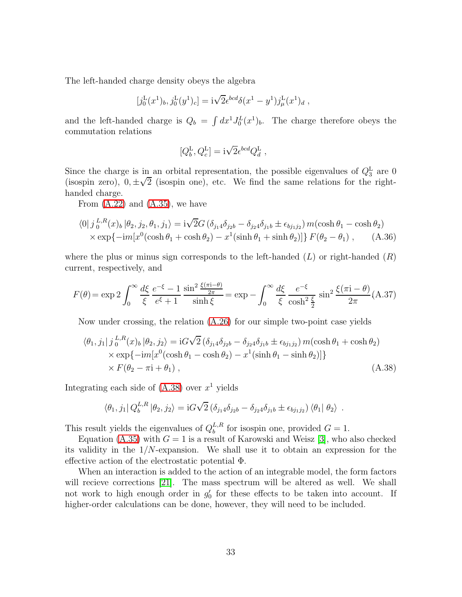The left-handed charge density obeys the algebra

$$
[j_0^{\rm L}(x^1)_b, j_0^{\rm L}(y^1)_c] = i\sqrt{2}\epsilon^{bcd}\delta(x^1 - y^1)j_\mu^{\rm L}(x^1)_d,
$$

and the left-handed charge is  $Q_b = \int dx^1 J_0^L(x^1)_b$ . The charge therefore obeys the commutation relations

$$
[Q_{b}^{\rm L},Q_{c}^{\rm L}]=\mathrm{i}\sqrt{2}\epsilon^{bcd}Q_{d}^{\rm L}\;,
$$

Since the charge is in an orbital representation, the possible eigenvalues of  $Q_3^L$  are 0 (isospin zero),  $0, \pm \sqrt{2}$  (isospin one), etc. We find the same relations for the righthanded charge.

From  $(A.22)$  and  $(A.35)$ , we have

$$
\langle 0|j_0^{L,R}(x)_b|\theta_2, j_2, \theta_1, j_1\rangle = i\sqrt{2}G\left(\delta_{j_1}A\delta_{j_2}b - \delta_{j_2}A\delta_{j_1}b \pm \epsilon_{bj_1j_2}\right)m(\cosh\theta_1 - \cosh\theta_2)
$$
  
×  $\exp\{-im[x^0(\cosh\theta_1 + \cosh\theta_2) - x^1(\sinh\theta_1 + \sinh\theta_2)]\}F(\theta_2 - \theta_1)$ , (A.36)

<span id="page-33-0"></span>where the plus or minus sign corresponds to the left-handed  $(L)$  or right-handed  $(R)$ current, respectively, and

$$
F(\theta) = \exp 2 \int_0^\infty \frac{d\xi}{\xi} \frac{e^{-\xi} - 1}{e^{\xi} + 1} \frac{\sin^2 \frac{\xi(\pi i - \theta)}{2\pi}}{\sinh \xi} = \exp - \int_0^\infty \frac{d\xi}{\xi} \frac{e^{-\xi}}{\cosh^2 \frac{\xi}{2}} \sin^2 \frac{\xi(\pi i - \theta)}{2\pi} (A.37)
$$

<span id="page-33-1"></span>Now under crossing, the relation [\(A.26\)](#page-29-0) for our simple two-point case yields

$$
\langle \theta_1, j_1 | j_0^{L,R}(x)_b | \theta_2, j_2 \rangle = iG\sqrt{2} \left( \delta_{j_1 4} \delta_{j_2 b} - \delta_{j_2 4} \delta_{j_1 b} \pm \epsilon_{b j_1 j_2} \right) m(\cosh \theta_1 + \cosh \theta_2)
$$
  
\n
$$
\times \exp\{-im[x^0(\cosh \theta_1 - \cosh \theta_2) - x^1(\sinh \theta_1 - \sinh \theta_2)]\}
$$
  
\n
$$
\times F(\theta_2 - \pi i + \theta_1),
$$
\n(A.38)

Integrating each side of  $(A.38)$  over  $x<sup>1</sup>$  yields

$$
\langle \theta_1, j_1 | Q_b^{L,R} | \theta_2, j_2 \rangle = iG\sqrt{2} \left( \delta_{j_1 4} \delta_{j_2 b} - \delta_{j_2 4} \delta_{j_1 b} \pm \epsilon_{b j_1 j_2} \right) \langle \theta_1 | \theta_2 \rangle .
$$

This result yields the eigenvalues of  $Q_b^{L,R}$  $b^{L,R}$  for isospin one, provided  $G = 1$ .

Equation [\(A.35\)](#page-32-0) with  $G = 1$  is a result of Karowski and Weisz [\[3\]](#page-34-2), who also checked its validity in the 1/N-expansion. We shall use it to obtain an expression for the effective action of the electrostatic potential Φ.

When an interaction is added to the action of an integrable model, the form factors will recieve corrections [\[21\]](#page-35-1). The mass spectrum will be altered as well. We shall not work to high enough order in  $g'_0$  for these effects to be taken into account. If higher-order calculations can be done, however, they will need to be included.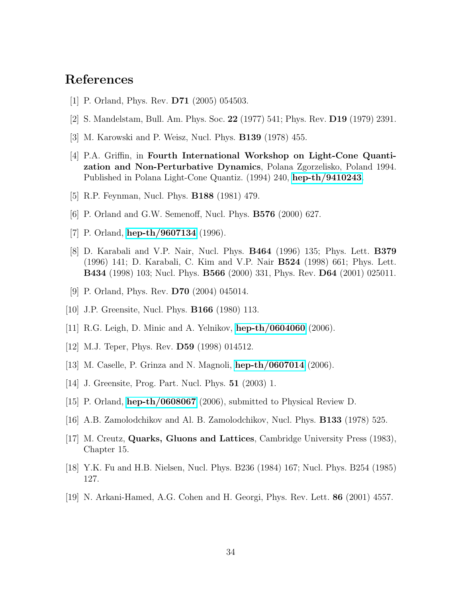### <span id="page-34-0"></span>References

- <span id="page-34-1"></span>[1] P. Orland, Phys. Rev. D71 (2005) 054503.
- <span id="page-34-2"></span>[2] S. Mandelstam, Bull. Am. Phys. Soc. 22 (1977) 541; Phys. Rev. D19 (1979) 2391.
- <span id="page-34-3"></span>[3] M. Karowski and P. Weisz, Nucl. Phys. B139 (1978) 455.
- [4] P.A. Griffin, in Fourth International Workshop on Light-Cone Quantization and Non-Perturbative Dynamics, Polana Zgorzelisko, Poland 1994. Published in Polana Light-Cone Quantiz. (1994) 240, [hep-th/9410243](http://arxiv.org/abs/hep-th/9410243).
- <span id="page-34-5"></span><span id="page-34-4"></span>[5] R.P. Feynman, Nucl. Phys. B188 (1981) 479.
- <span id="page-34-6"></span>[6] P. Orland and G.W. Semenoff, Nucl. Phys. B576 (2000) 627.
- <span id="page-34-7"></span>[7] P. Orland, **[hep-th/9607134](http://arxiv.org/abs/hep-th/9607134)** (1996).
- [8] D. Karabali and V.P. Nair, Nucl. Phys. B464 (1996) 135; Phys. Lett. B379 (1996) 141; D. Karabali, C. Kim and V.P. Nair B524 (1998) 661; Phys. Lett. B434 (1998) 103; Nucl. Phys. B566 (2000) 331, Phys. Rev. D64 (2001) 025011.
- <span id="page-34-8"></span>[9] P. Orland, Phys. Rev. D70 (2004) 045014.
- <span id="page-34-10"></span><span id="page-34-9"></span>[10] J.P. Greensite, Nucl. Phys. B166 (1980) 113.
- <span id="page-34-11"></span>[11] R.G. Leigh, D. Minic and A. Yelnikov, [hep-th/0604060](http://arxiv.org/abs/hep-th/0604060) (2006).
- <span id="page-34-12"></span>[12] M.J. Teper, Phys. Rev. D59 (1998) 014512.
- <span id="page-34-13"></span>[13] M. Caselle, P. Grinza and N. Magnoli, [hep-th/0607014](http://arxiv.org/abs/hep-th/0607014) (2006).
- <span id="page-34-14"></span>[14] J. Greensite, Prog. Part. Nucl. Phys. 51 (2003) 1.
- <span id="page-34-15"></span>[15] P. Orland, [hep-th/0608067](http://arxiv.org/abs/hep-th/0608067) (2006), submitted to Physical Review D.
- <span id="page-34-16"></span>[16] A.B. Zamolodchikov and Al. B. Zamolodchikov, Nucl. Phys. B133 (1978) 525.
- <span id="page-34-17"></span>[17] M. Creutz, Quarks, Gluons and Lattices, Cambridge University Press (1983), Chapter 15.
- <span id="page-34-18"></span>[18] Y.K. Fu and H.B. Nielsen, Nucl. Phys. B236 (1984) 167; Nucl. Phys. B254 (1985) 127.
- [19] N. Arkani-Hamed, A.G. Cohen and H. Georgi, Phys. Rev. Lett. 86 (2001) 4557.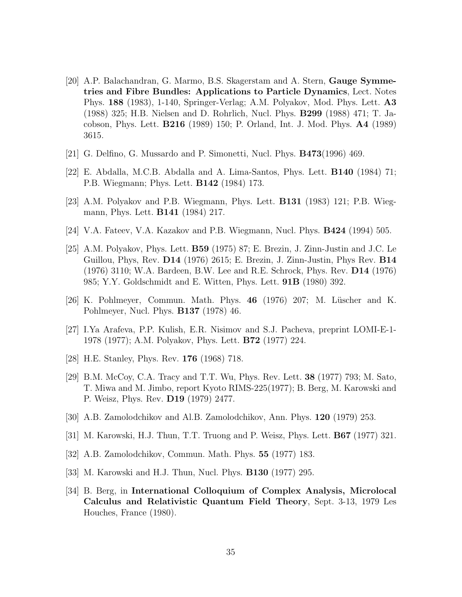- <span id="page-35-0"></span>[20] A.P. Balachandran, G. Marmo, B.S. Skagerstam and A. Stern, Gauge Symmetries and Fibre Bundles: Applications to Particle Dynamics, Lect. Notes Phys. 188 (1983), 1-140, Springer-Verlag; A.M. Polyakov, Mod. Phys. Lett. A3 (1988) 325; H.B. Nielsen and D. Rohrlich, Nucl. Phys. B299 (1988) 471; T. Jacobson, Phys. Lett. B216 (1989) 150; P. Orland, Int. J. Mod. Phys. A4 (1989) 3615.
- <span id="page-35-2"></span><span id="page-35-1"></span>[21] G. Delfino, G. Mussardo and P. Simonetti, Nucl. Phys. B473(1996) 469.
- <span id="page-35-3"></span>[22] E. Abdalla, M.C.B. Abdalla and A. Lima-Santos, Phys. Lett. B140 (1984) 71; P.B. Wiegmann; Phys. Lett. B142 (1984) 173.
- <span id="page-35-4"></span>[23] A.M. Polyakov and P.B. Wiegmann, Phys. Lett. B131 (1983) 121; P.B. Wiegmann, Phys. Lett. B141 (1984) 217.
- <span id="page-35-5"></span>[24] V.A. Fateev, V.A. Kazakov and P.B. Wiegmann, Nucl. Phys. B424 (1994) 505.
- [25] A.M. Polyakov, Phys. Lett. B59 (1975) 87; E. Brezin, J. Zinn-Justin and J.C. Le Guillou, Phys, Rev. D14 (1976) 2615; E. Brezin, J. Zinn-Justin, Phys Rev. B14 (1976) 3110; W.A. Bardeen, B.W. Lee and R.E. Schrock, Phys. Rev. D14 (1976) 985; Y.Y. Goldschmidt and E. Witten, Phys. Lett. 91B (1980) 392.
- <span id="page-35-7"></span><span id="page-35-6"></span> $[26]$  K. Pohlmeyer, Commun. Math. Phys. 46 (1976) 207; M. Lüscher and K. Pohlmeyer, Nucl. Phys. B137 (1978) 46.
- <span id="page-35-8"></span>[27] I.Ya Arafeva, P.P. Kulish, E.R. Nisimov and S.J. Pacheva, preprint LOMI-E-1- 1978 (1977); A.M. Polyakov, Phys. Lett. B72 (1977) 224.
- <span id="page-35-9"></span>[28] H.E. Stanley, Phys. Rev. 176 (1968) 718.
- [29] B.M. McCoy, C.A. Tracy and T.T. Wu, Phys. Rev. Lett. 38 (1977) 793; M. Sato, T. Miwa and M. Jimbo, report Kyoto RIMS-225(1977); B. Berg, M. Karowski and P. Weisz, Phys. Rev. D19 (1979) 2477.
- <span id="page-35-11"></span><span id="page-35-10"></span>[30] A.B. Zamolodchikov and Al.B. Zamolodchikov, Ann. Phys. 120 (1979) 253.
- <span id="page-35-12"></span>[31] M. Karowski, H.J. Thun, T.T. Truong and P. Weisz, Phys. Lett. B67 (1977) 321.
- <span id="page-35-13"></span>[32] A.B. Zamolodchikov, Commun. Math. Phys. 55 (1977) 183.
- <span id="page-35-14"></span>[33] M. Karowski and H.J. Thun, Nucl. Phys. B130 (1977) 295.
- [34] B. Berg, in International Colloquium of Complex Analysis, Microlocal Calculus and Relativistic Quantum Field Theory, Sept. 3-13, 1979 Les Houches, France (1980).